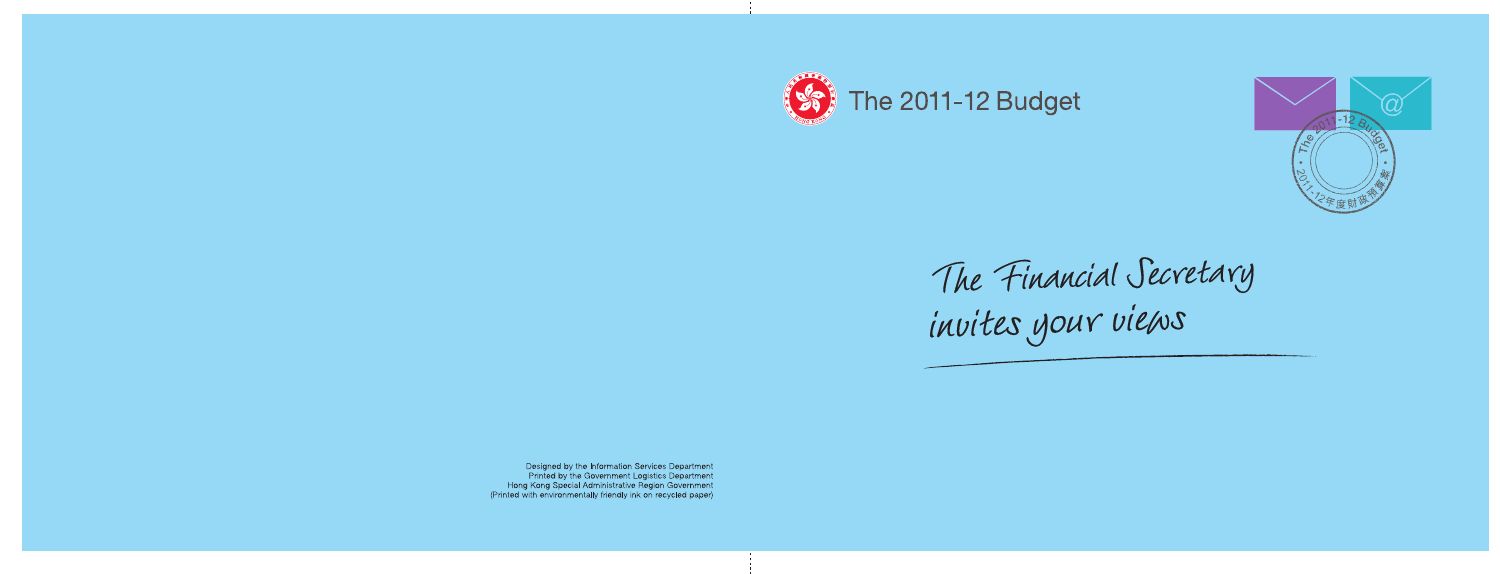

**The 2011-12 Budget** 



The Financial Secretary invites your vieus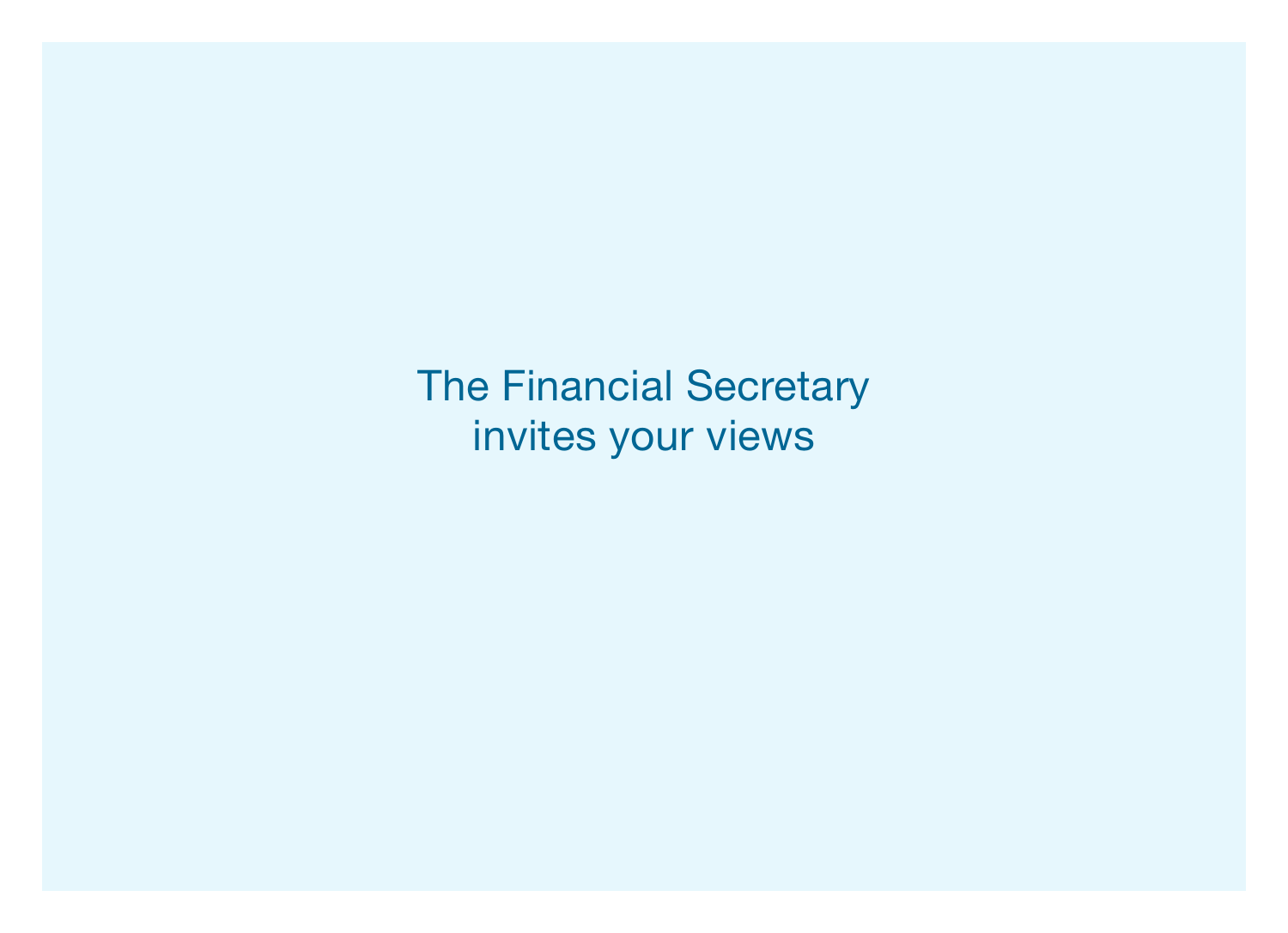The Financial Secretary invites your views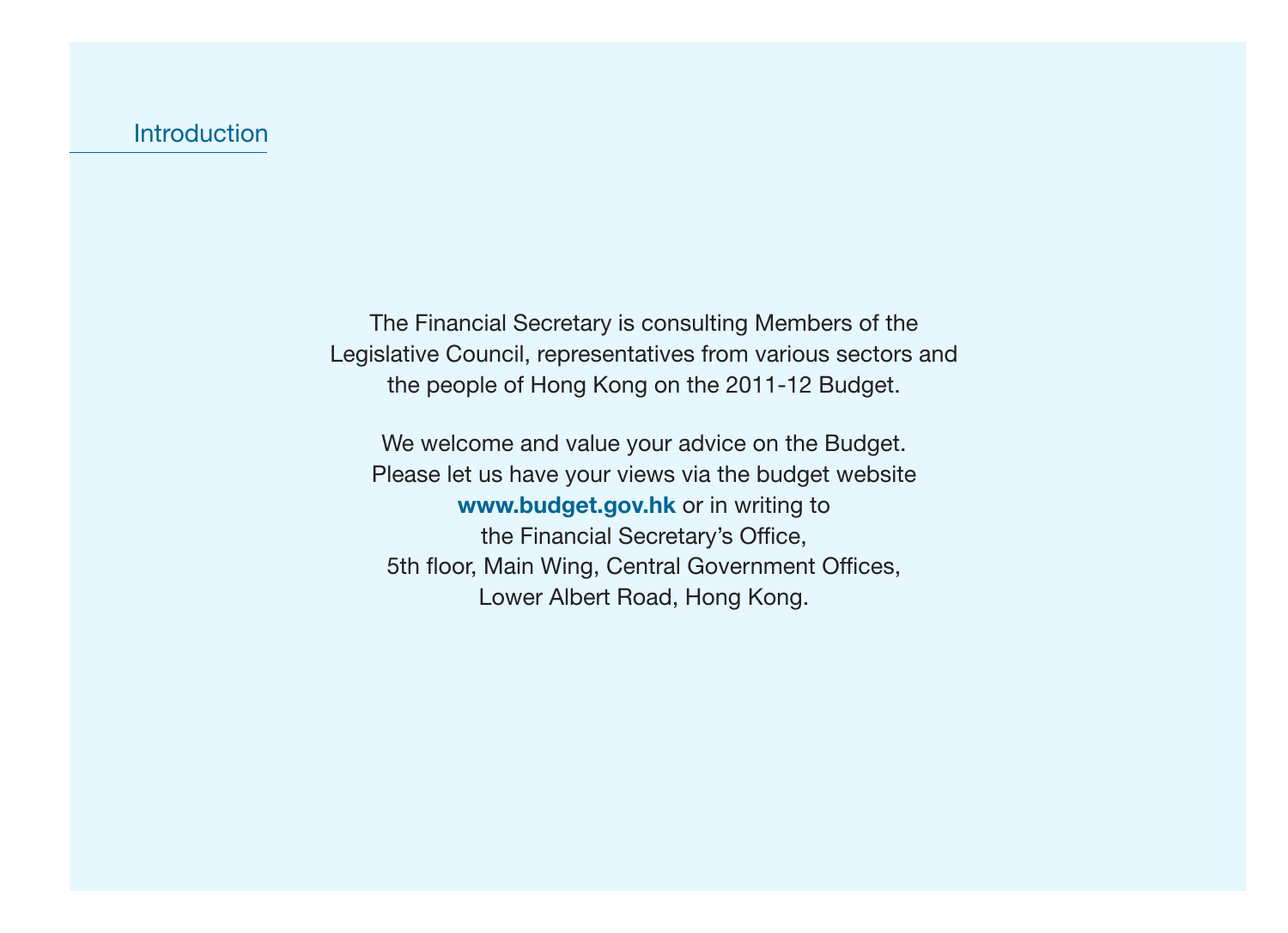The Financial Secretary is consulting Members of the Legislative Council, representatives from various sectors and the people of Hong Kong on the 2011-12 Budget.

We welcome and value your advice on the Budget. Please let us have your views via the budget website **www.budget.gov.hk** or in writing to the Financial Secretary's Office, 5th floor, Main Wing, Central Government Offices, Lower Albert Road, Hong Kong.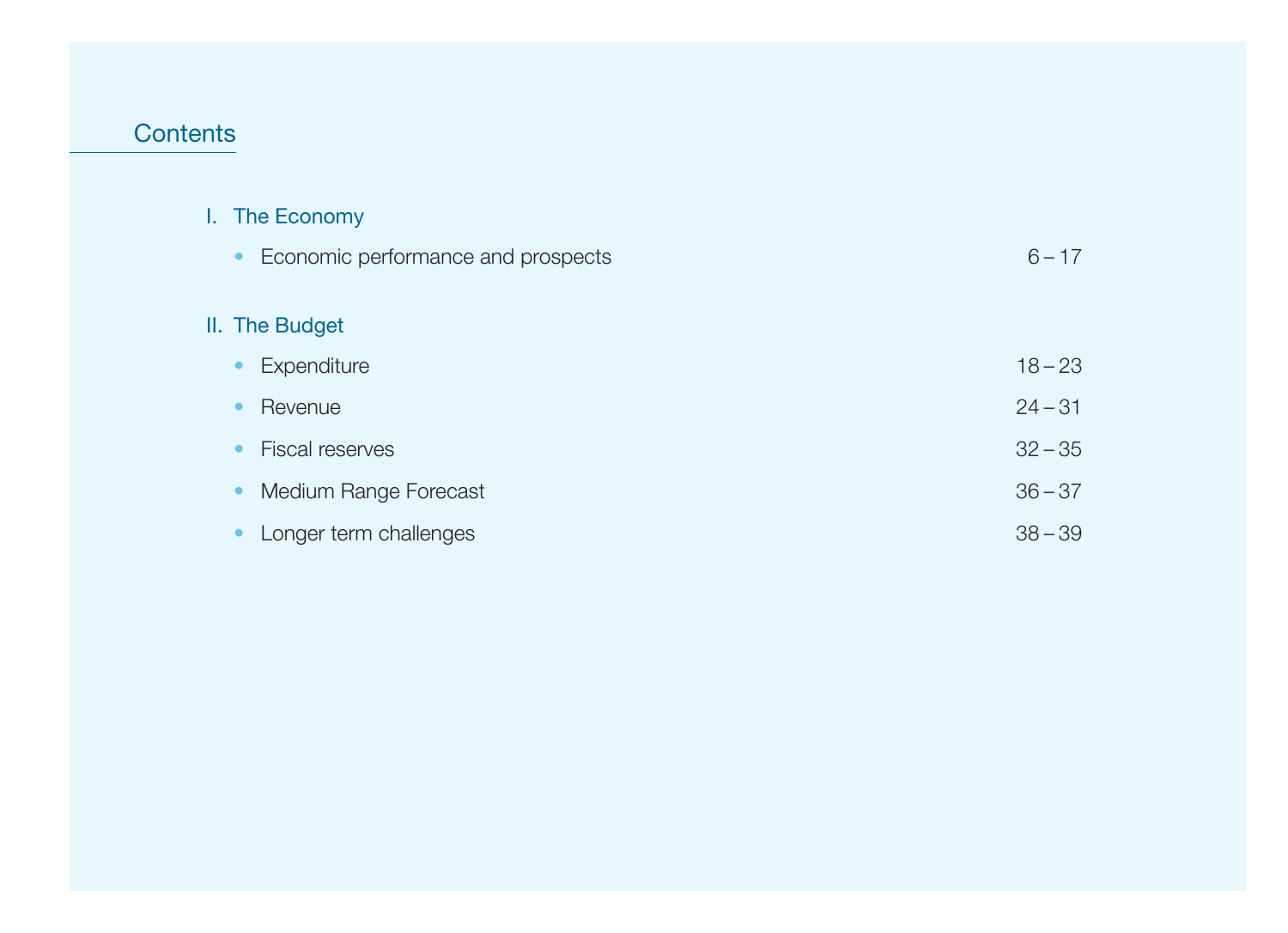#### **Contents**

 $II.$ 

#### I. The Economy

| Economic performance and prospects<br>$\bullet$ | $6 - 17$  |
|-------------------------------------------------|-----------|
| II. The Budget                                  |           |
| Expenditure<br>$\bullet$                        | $18 - 23$ |
| Revenue                                         | $24 - 31$ |
| <b>Fiscal reserves</b><br>$\bullet$             | $32 - 35$ |
| Medium Range Forecast<br>$\bullet$              | $36 - 37$ |
| Longer term challenges                          | $38 - 39$ |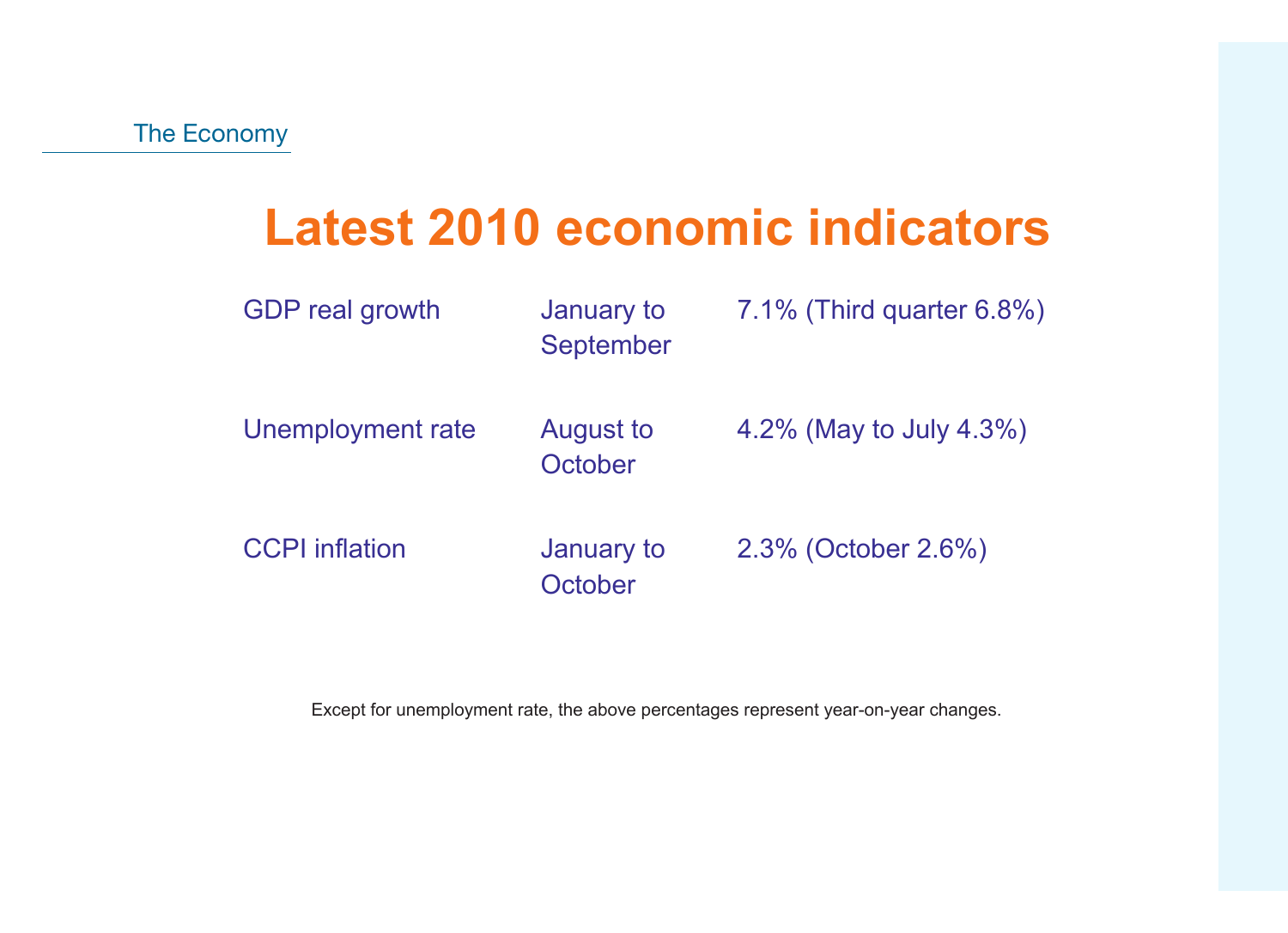# **Latest 2010 economic indicators**

| <b>GDP</b> real growth | January to<br>September     | 7.1% (Third quarter 6.8%) |
|------------------------|-----------------------------|---------------------------|
| Unemployment rate      | <b>August to</b><br>October | 4.2% (May to July 4.3%)   |
| <b>CCPI</b> inflation  | January to<br>October       | 2.3% (October 2.6%)       |

Except for unemployment rate, the above percentages represent year-on-year changes.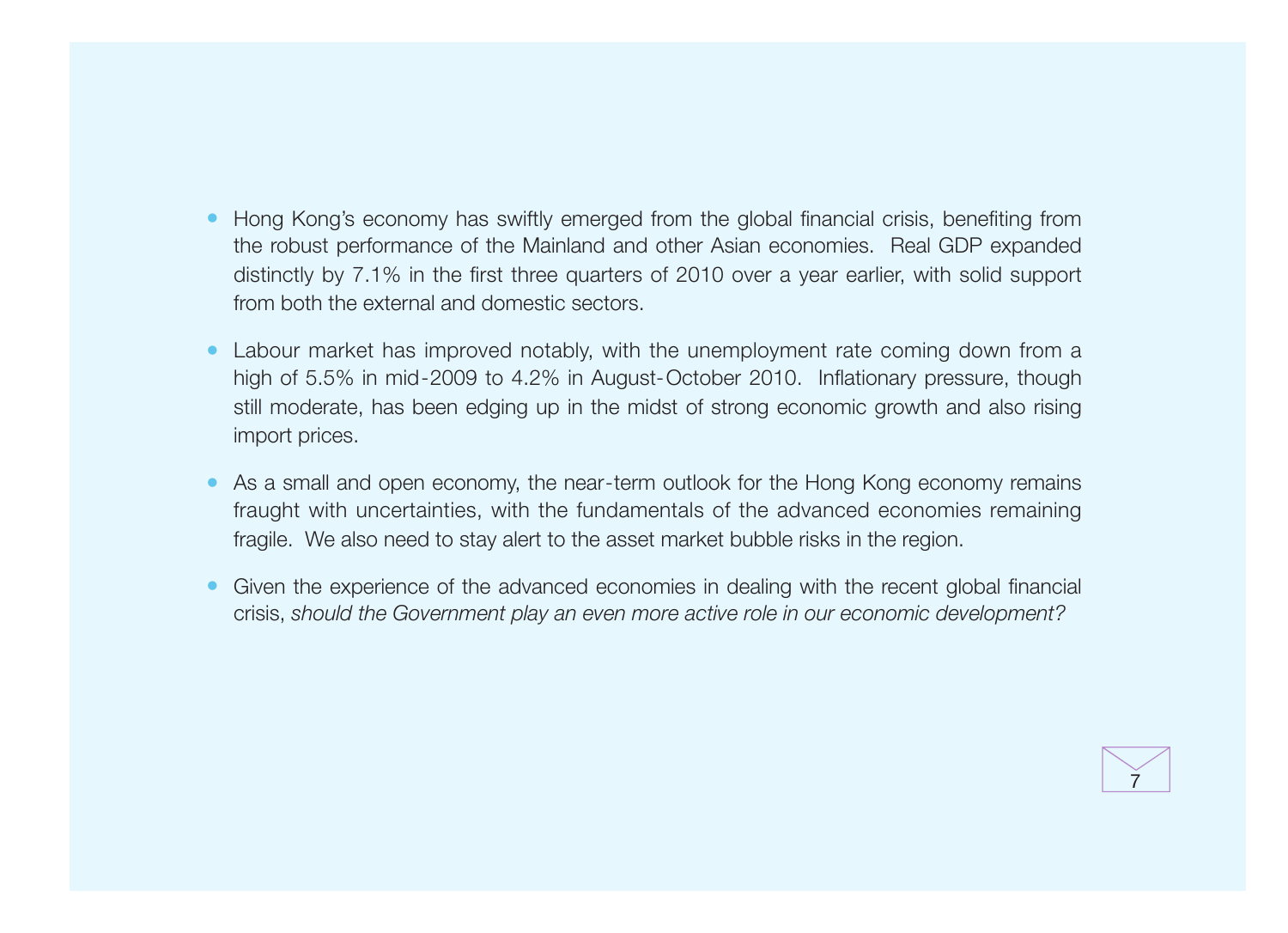- Hong Kong's economy has swiftly emerged from the global financial crisis, benefiting from the robust performance of the Mainland and other Asian economies. Real GDP expanded distinctly by 7.1% in the first three quarters of 2010 over a year earlier, with solid support from both the external and domestic sectors.
- Labour market has improved notably, with the unemployment rate coming down from a high of 5.5% in mid-2009 to 4.2% in August-October 2010. Inflationary pressure, though still moderate, has been edging up in the midst of strong economic growth and also rising import prices.
- As a small and open economy, the near-term outlook for the Hong Kong economy remains fraught with uncertainties, with the fundamentals of the advanced economies remaining fragile. We also need to stay alert to the asset market bubble risks in the region.
- Given the experience of the advanced economies in dealing with the recent global financial crisis, should the Government play an even more active role in our economic development?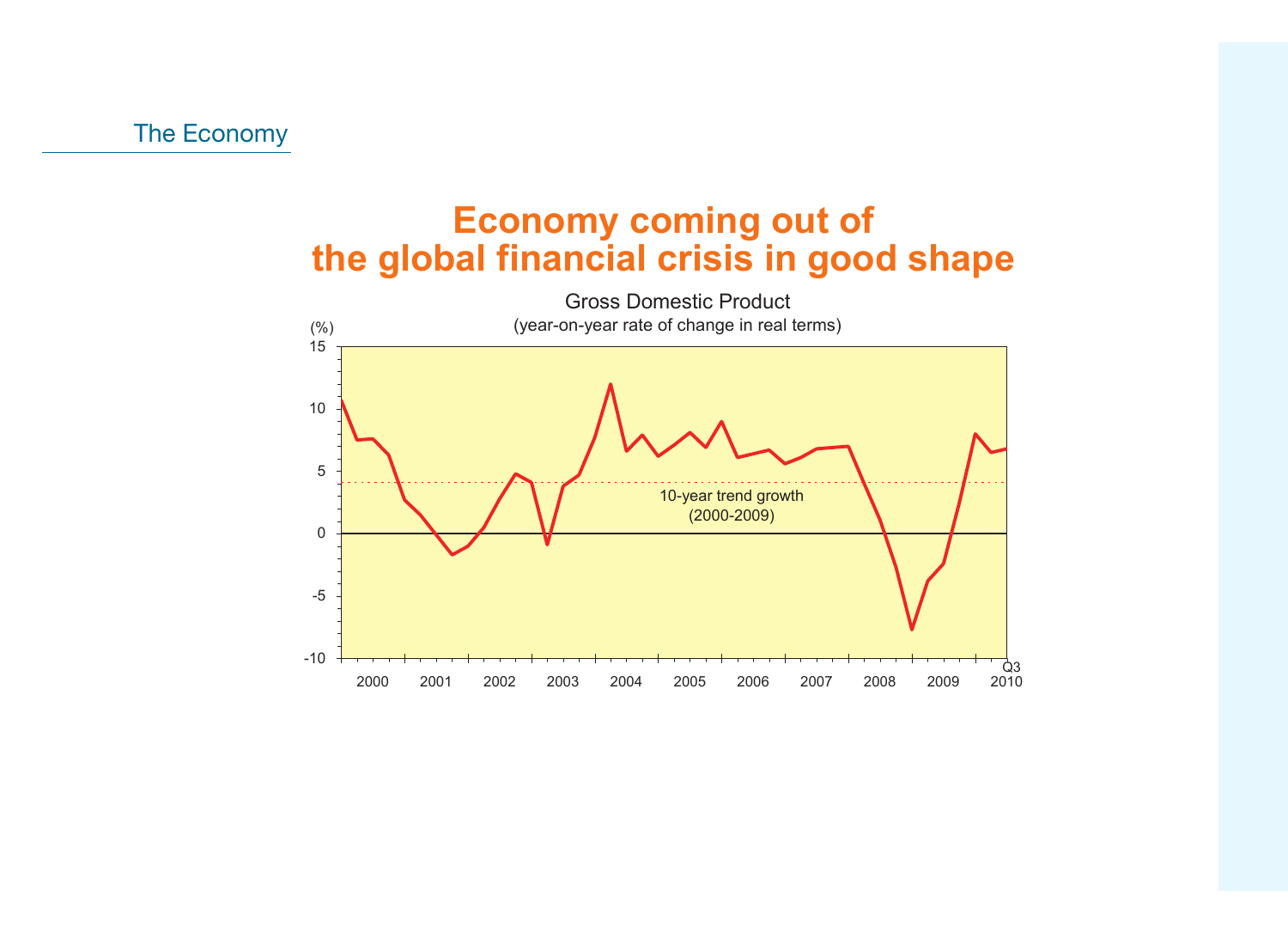### **Economy coming out of the global financial crisis in good shape**

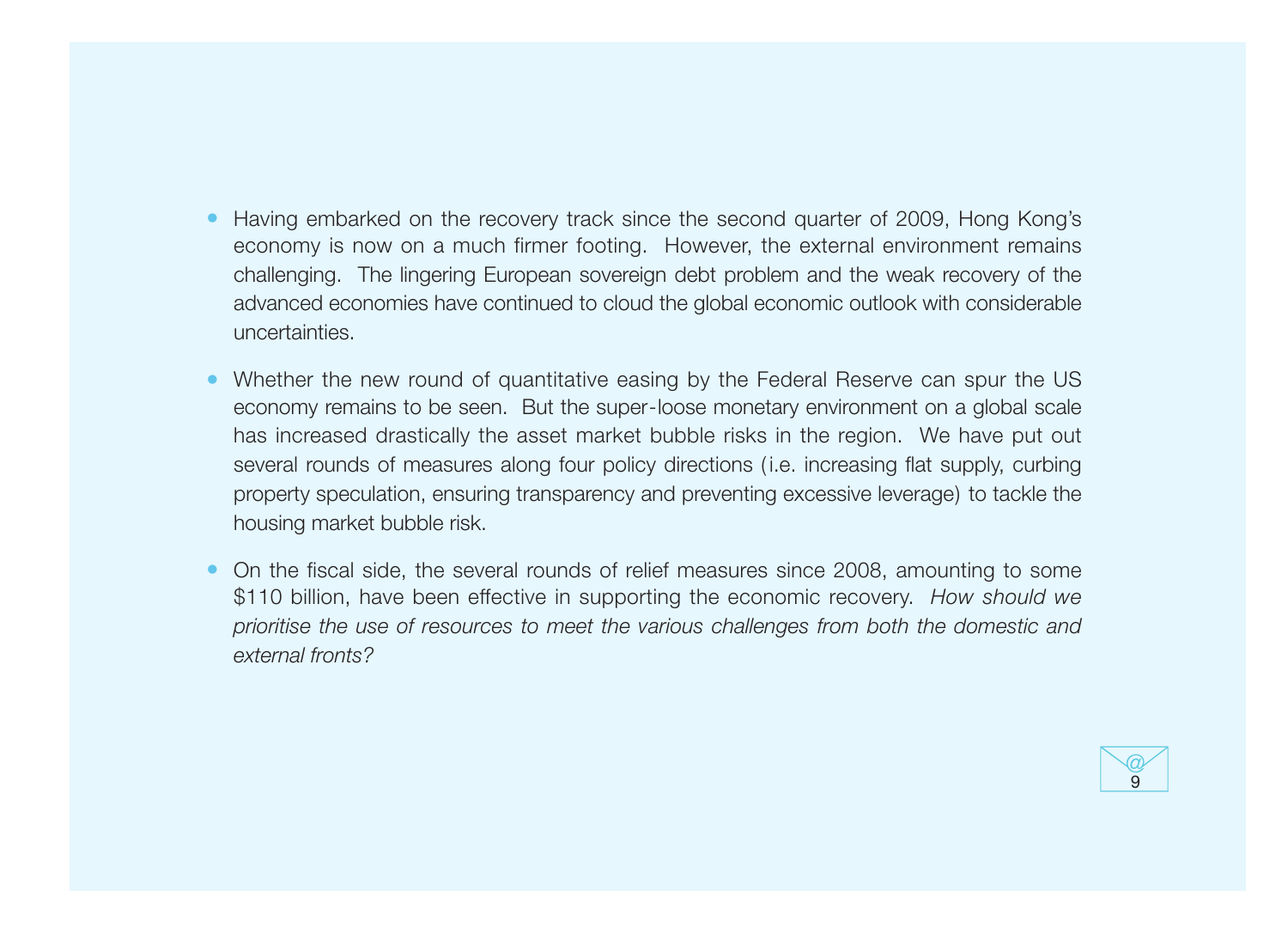- Having embarked on the recovery track since the second quarter of 2009, Hong Kong's economy is now on a much firmer footing. However, the external environment remains challenging. The lingering European sovereign debt problem and the weak recovery of the advanced economies have continued to cloud the global economic outlook with considerable uncertainties.
- Whether the new round of quantitative easing by the Federal Reserve can spur the US economy remains to be seen. But the super-loose monetary environment on a global scale has increased drastically the asset market bubble risks in the region. We have put out several rounds of measures along four policy directions (*i.e.* increasing flat supply, curbing property speculation, ensuring transparency and preventing excessive leverage) to tackle the housing market bubble risk.
- On the fiscal side, the several rounds of relief measures since 2008, amounting to some \$110 billion, have been effective in supporting the economic recovery. How should we prioritise the use of resources to meet the various challenges from both the domestic and external fronts?

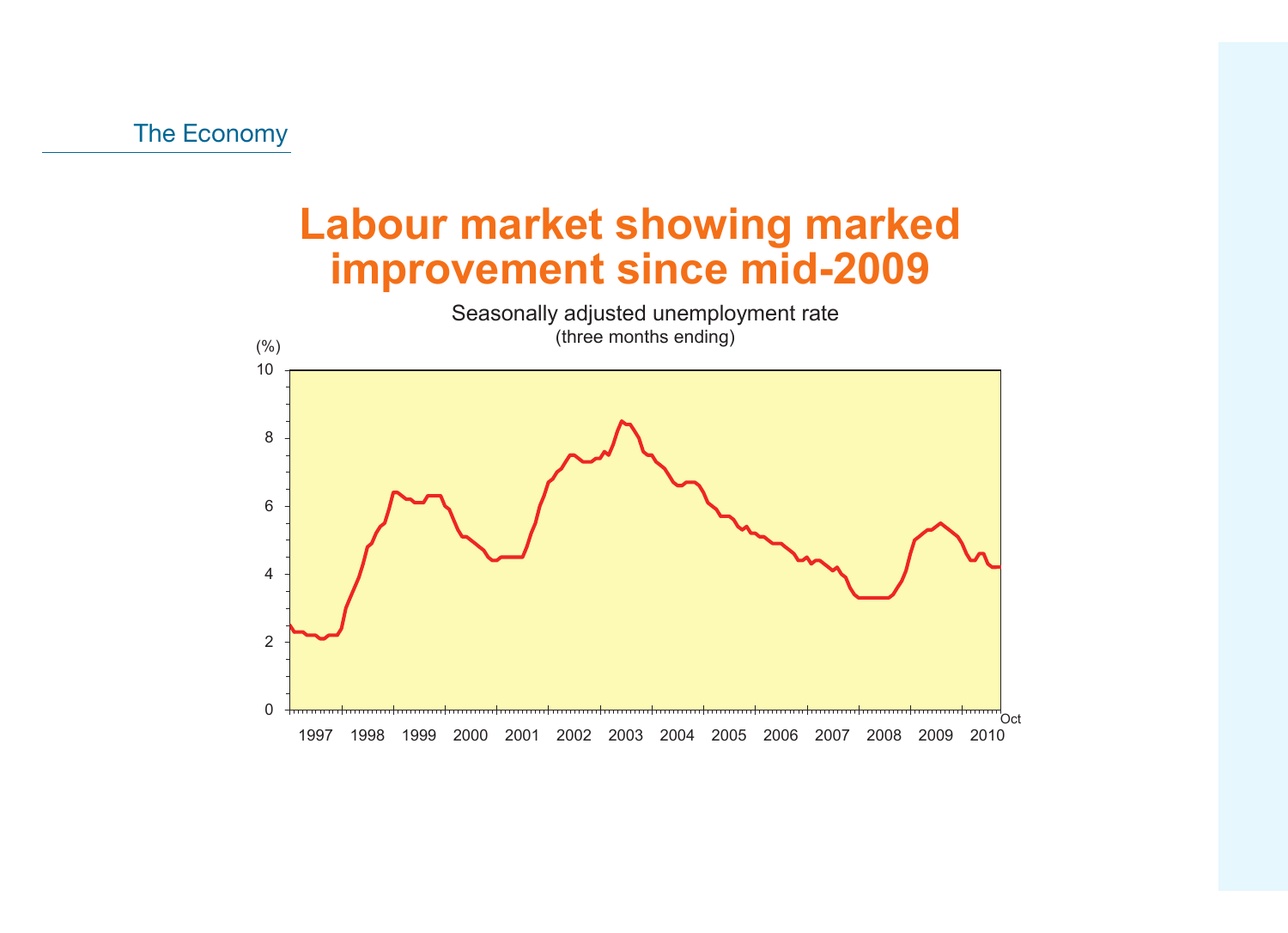### **Labour market showing marked improvement since mid-2009**

0 2 4 6 8 10 1997 1998 1999 2000 2001 2002 2003 2004 2005 2006 2007 2008 2009 2010  $(% )$  $Oct$ Seasonally adjusted unemployment rate (three months ending)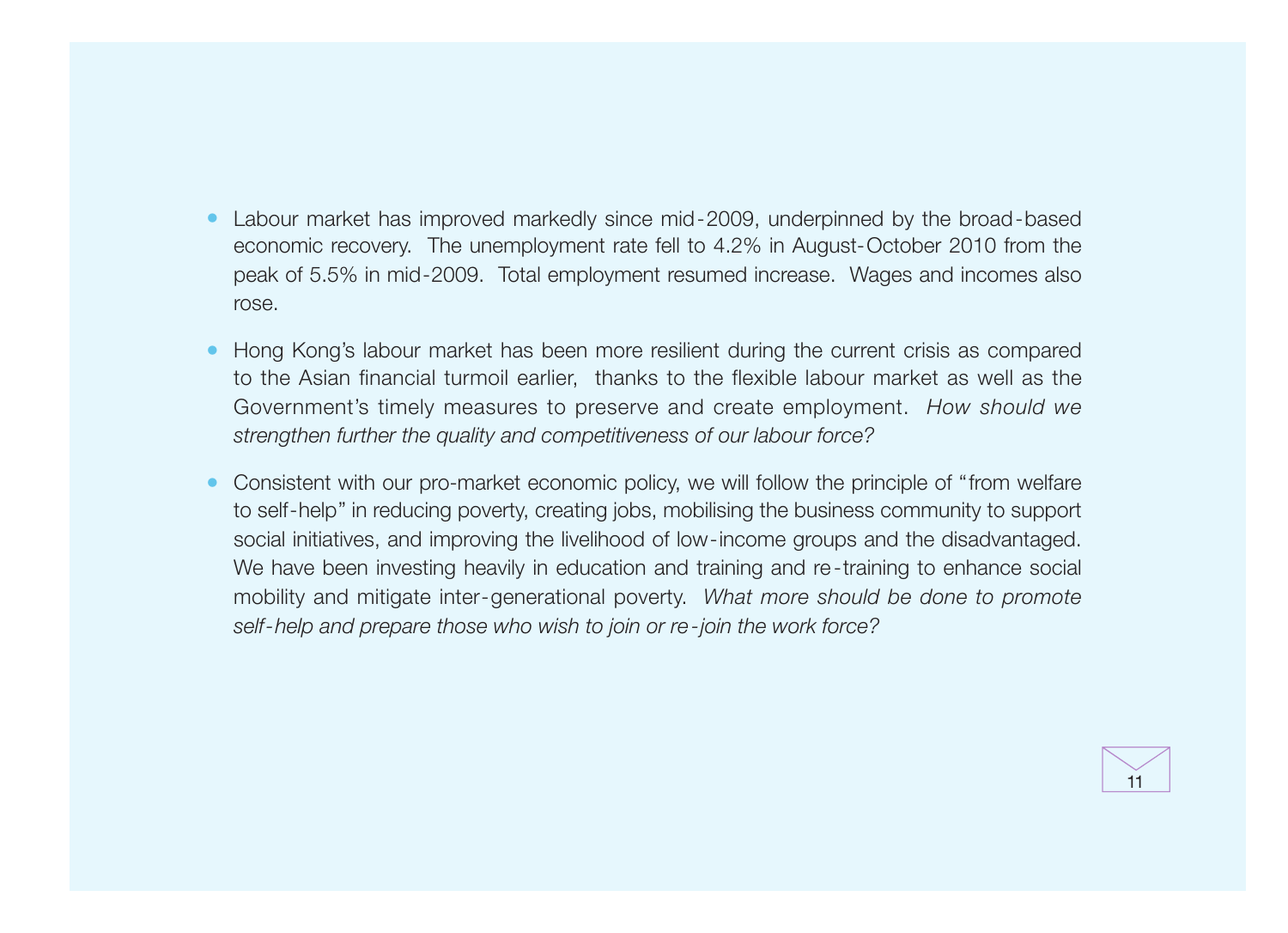- Labour market has improved markedly since mid-2009, underpinned by the broad-based economic recovery. The unemployment rate fell to 4.2% in August-October 2010 from the peak of 5.5% in mid-2009. Total employment resumed increase. Wages and incomes also rose.
- Hong Kong's labour market has been more resilient during the current crisis as compared to the Asian financial turmoil earlier, thanks to the flexible labour market as well as the Government's timely measures to preserve and create employment. How should we strengthen further the quality and competitiveness of our labour force?
- Consistent with our pro-market economic policy, we will follow the principle of "from welfare" to self-help" in reducing poverty, creating jobs, mobilising the business community to support social initiatives, and improving the livelihood of low-income groups and the disadvantaged. We have been investing heavily in education and training and re-training to enhance social mobility and mitigate inter-generational poverty. What more should be done to promote self-help and prepare those who wish to join or re-join the work force?

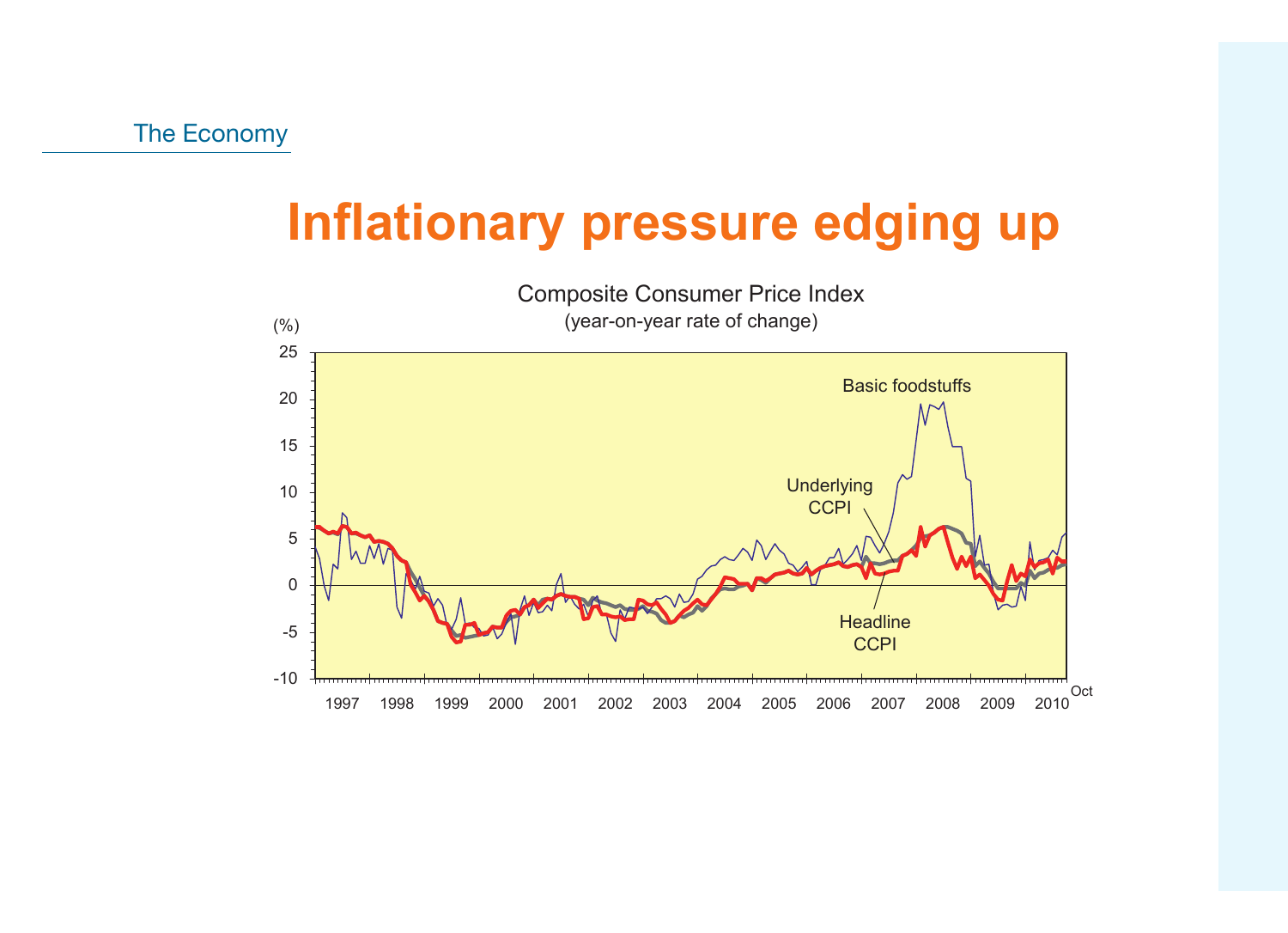# **Inflationary pressure edging up**

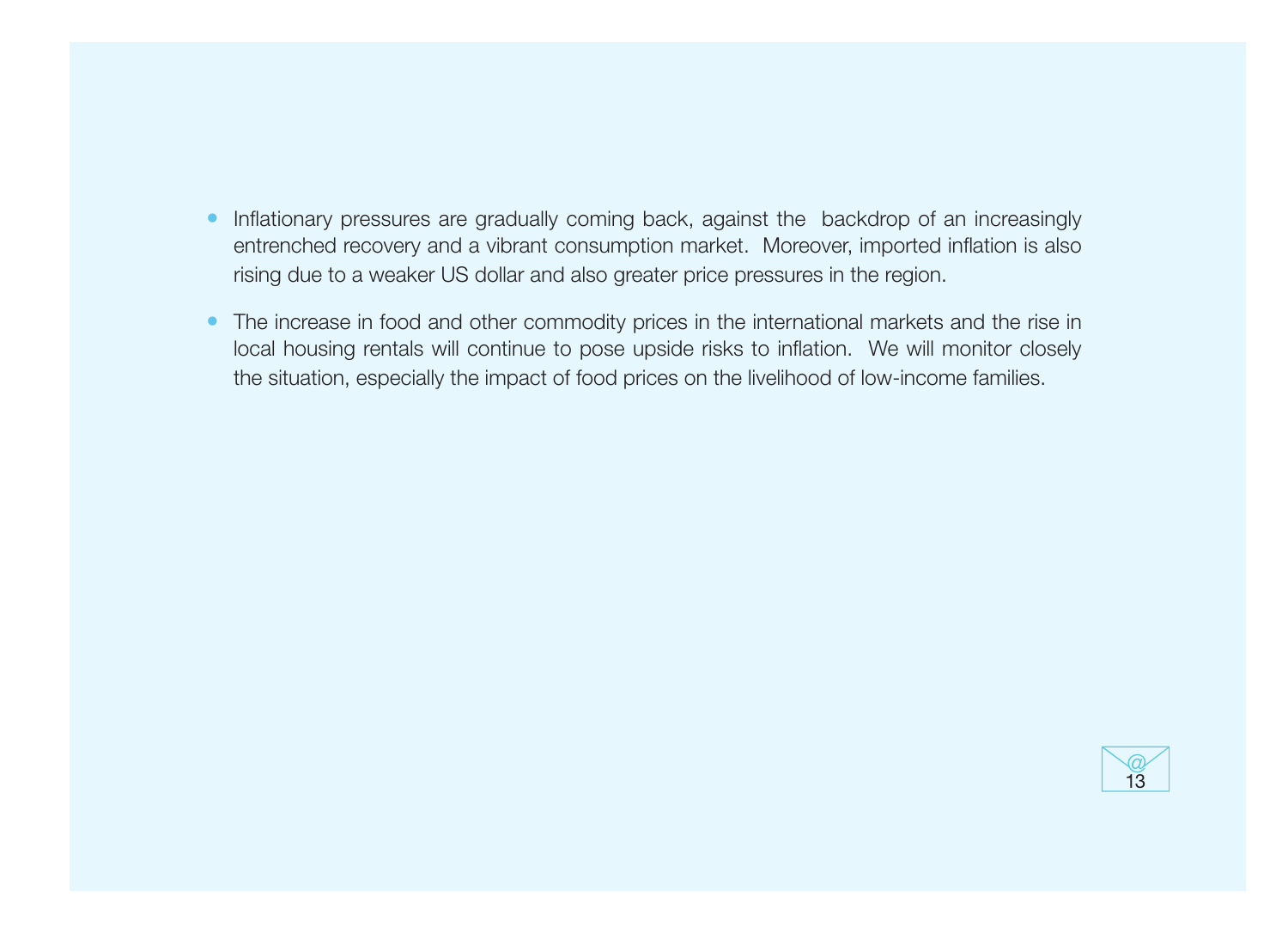- Inflationary pressures are gradually coming back, against the backdrop of an increasingly entrenched recovery and a vibrant consumption market. Moreover, imported inflation is also rising due to a weaker US dollar and also greater price pressures in the region.
- The increase in food and other commodity prices in the international markets and the rise in local housing rentals will continue to pose upside risks to inflation. We will monitor closely the situation, especially the impact of food prices on the livelihood of low-income families.

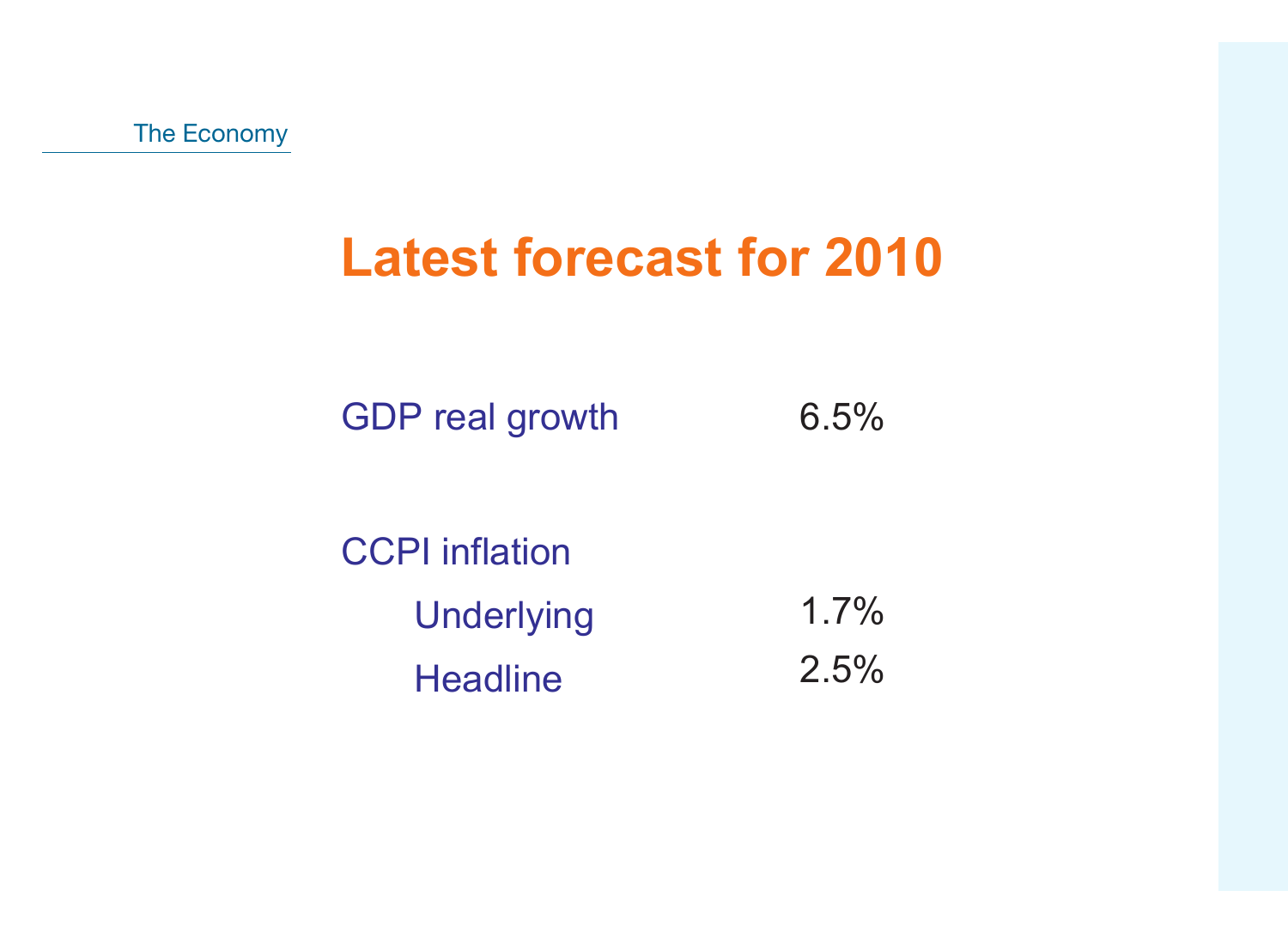# **Latest forecast for 2010**

GDP real growth 6.5%

CCPI inflation **Underlying Headline** 1.7% 2.5%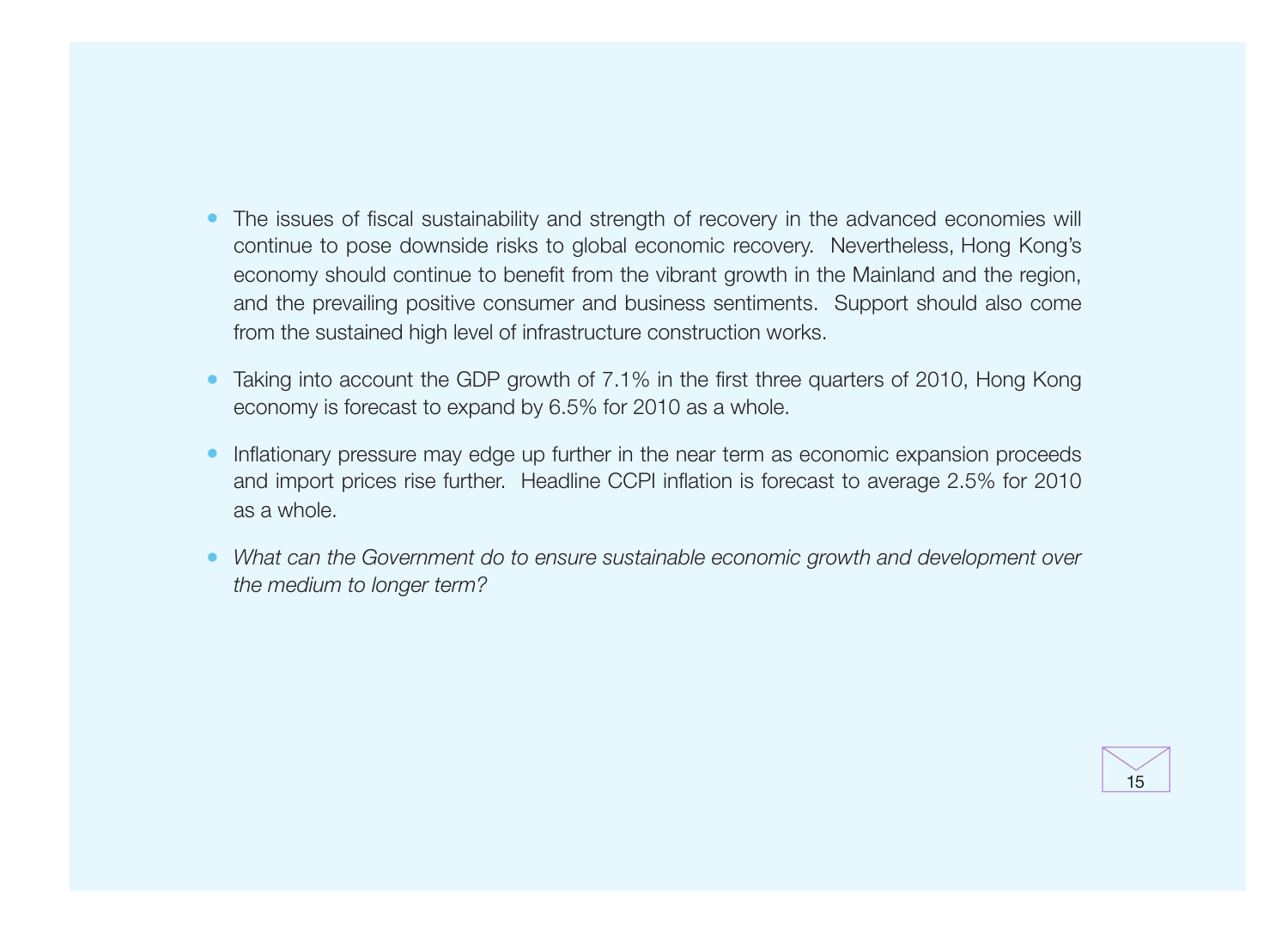- The issues of fiscal sustainability and strength of recovery in the advanced economies will continue to pose downside risks to global economic recovery. Nevertheless, Hong Kong's economy should continue to benefit from the vibrant growth in the Mainland and the region, and the prevailing positive consumer and business sentiments. Support should also come from the sustained high level of infrastructure construction works.
- Taking into account the GDP growth of 7.1% in the first three quarters of 2010, Hong Kong economy is forecast to expand by 6.5% for 2010 as a whole.
- Inflationary pressure may edge up further in the near term as economic expansion proceeds and import prices rise further. Headline CCPI inflation is forecast to average 2.5% for 2010 as a whole.
- What can the Government do to ensure sustainable economic growth and development over the medium to longer term?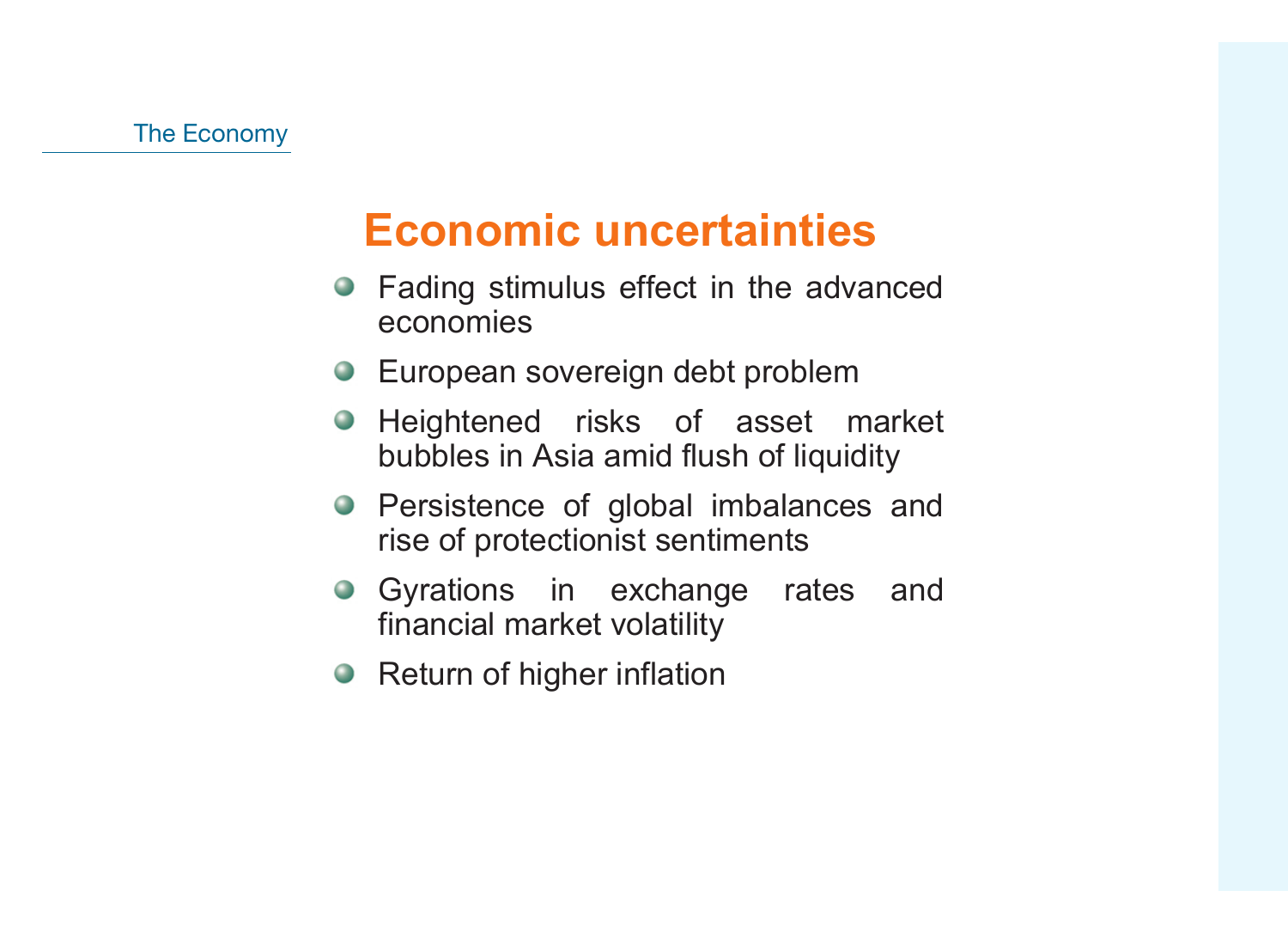## **Economic uncertainties**

- Fading stimulus effect in the advanced economies
- **European sovereign debt problem**
- Heightened risks of asset market bubbles in Asia amid flush of liquidity
- Persistence of global imbalances and rise of protectionist sentiments
- Gyrations in exchange rates and financial market volatility
- Return of higher inflation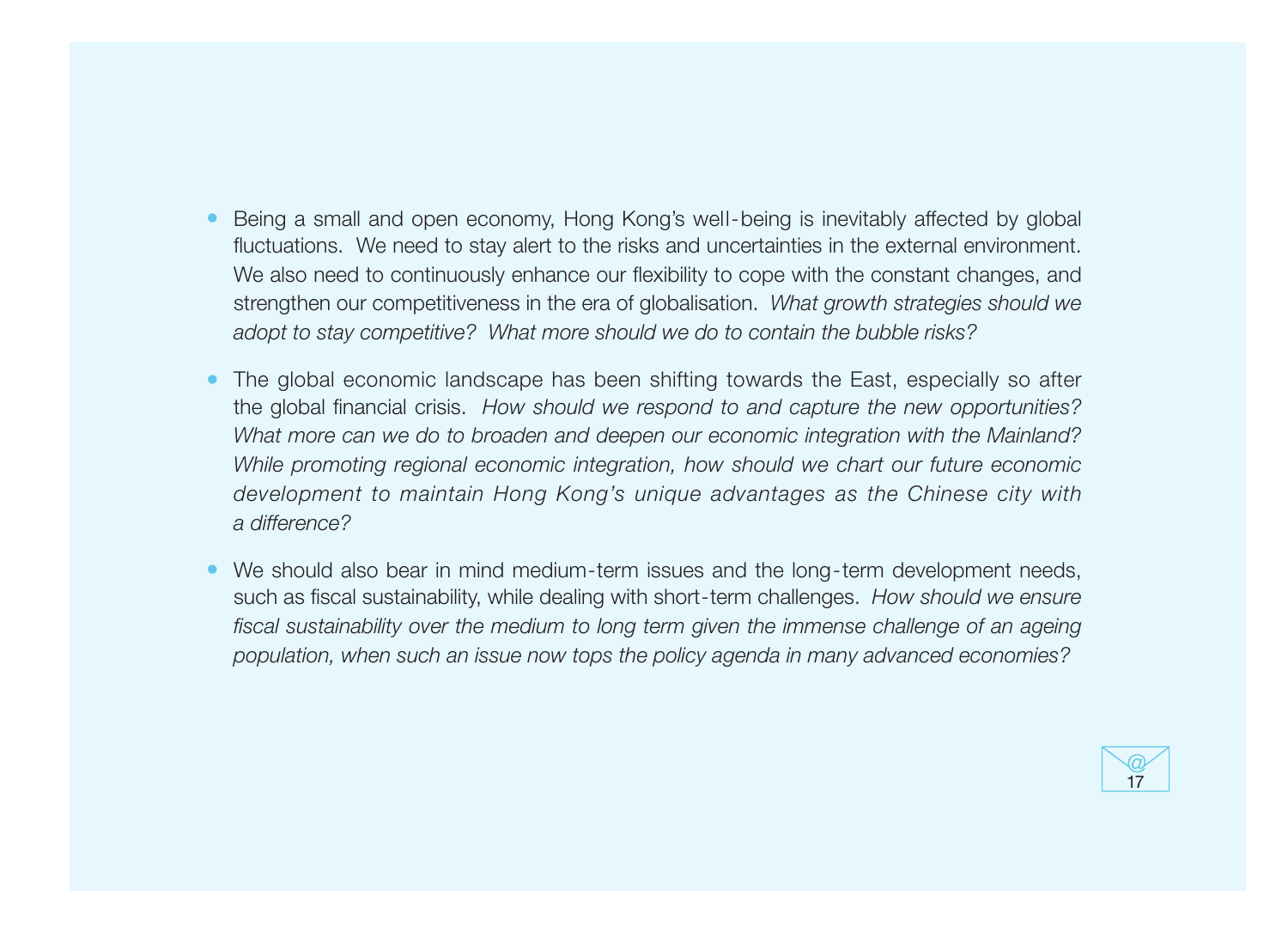- Being a small and open economy, Hong Kong's well-being is inevitably affected by global fluctuations. We need to stay alert to the risks and uncertainties in the external environment. We also need to continuously enhance our flexibility to cope with the constant changes, and strengthen our competitiveness in the era of globalisation. What growth strategies should we adopt to stay competitive? What more should we do to contain the bubble risks?
- The global economic landscape has been shifting towards the East, especially so after the global financial crisis. How should we respond to and capture the new opportunities? What more can we do to broaden and deepen our economic integration with the Mainland? While promoting regional economic integration, how should we chart our future economic development to maintain Hong Kong's unique advantages as the Chinese city with a difference?
- We should also bear in mind medium-term issues and the long-term development needs, such as fiscal sustainability, while dealing with short-term challenges. How should we ensure fiscal sustainability over the medium to long term given the immense challenge of an ageing population, when such an issue now tops the policy agenda in many advanced economies?

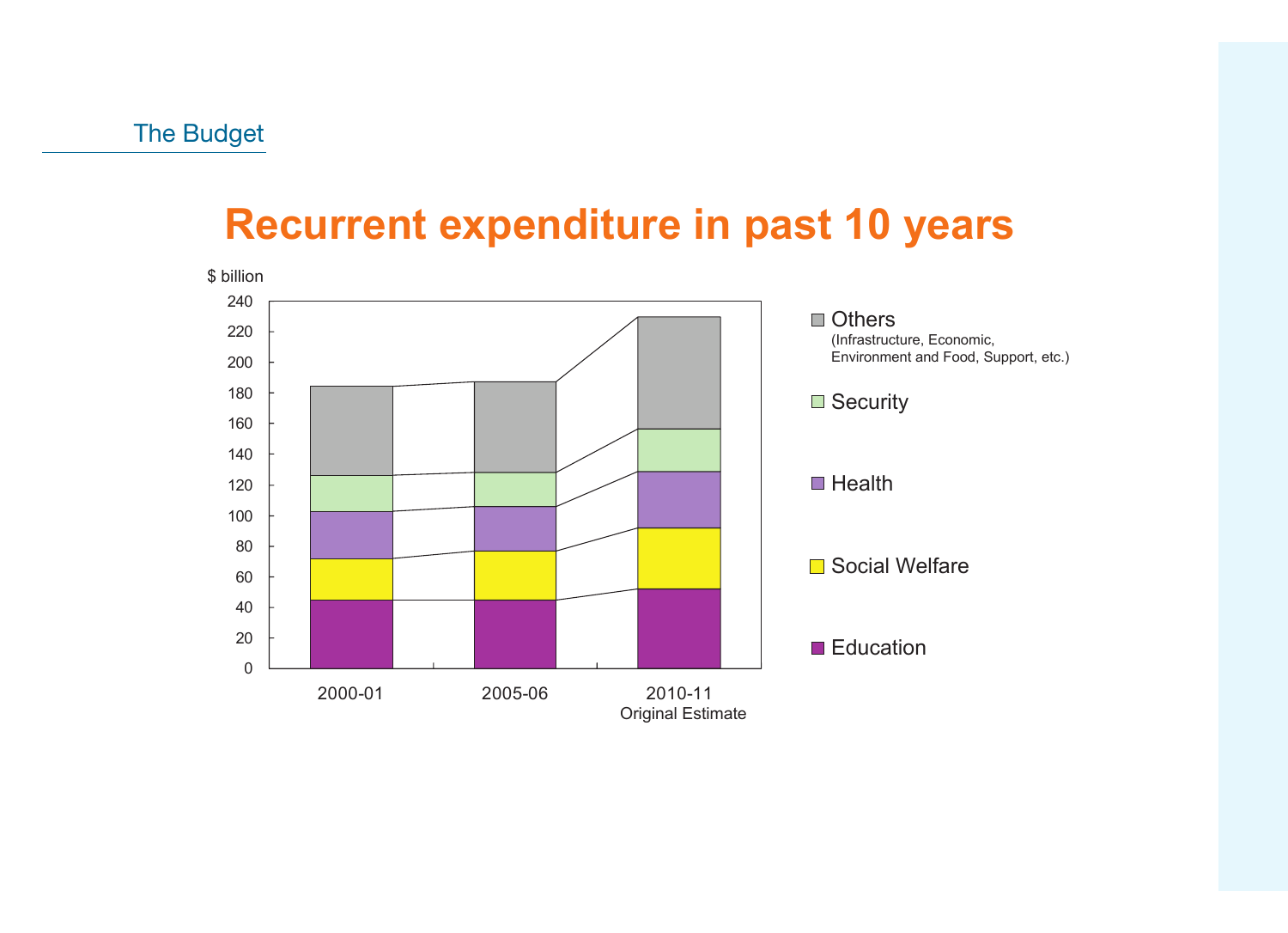### **Recurrent expenditure in past 10 years**

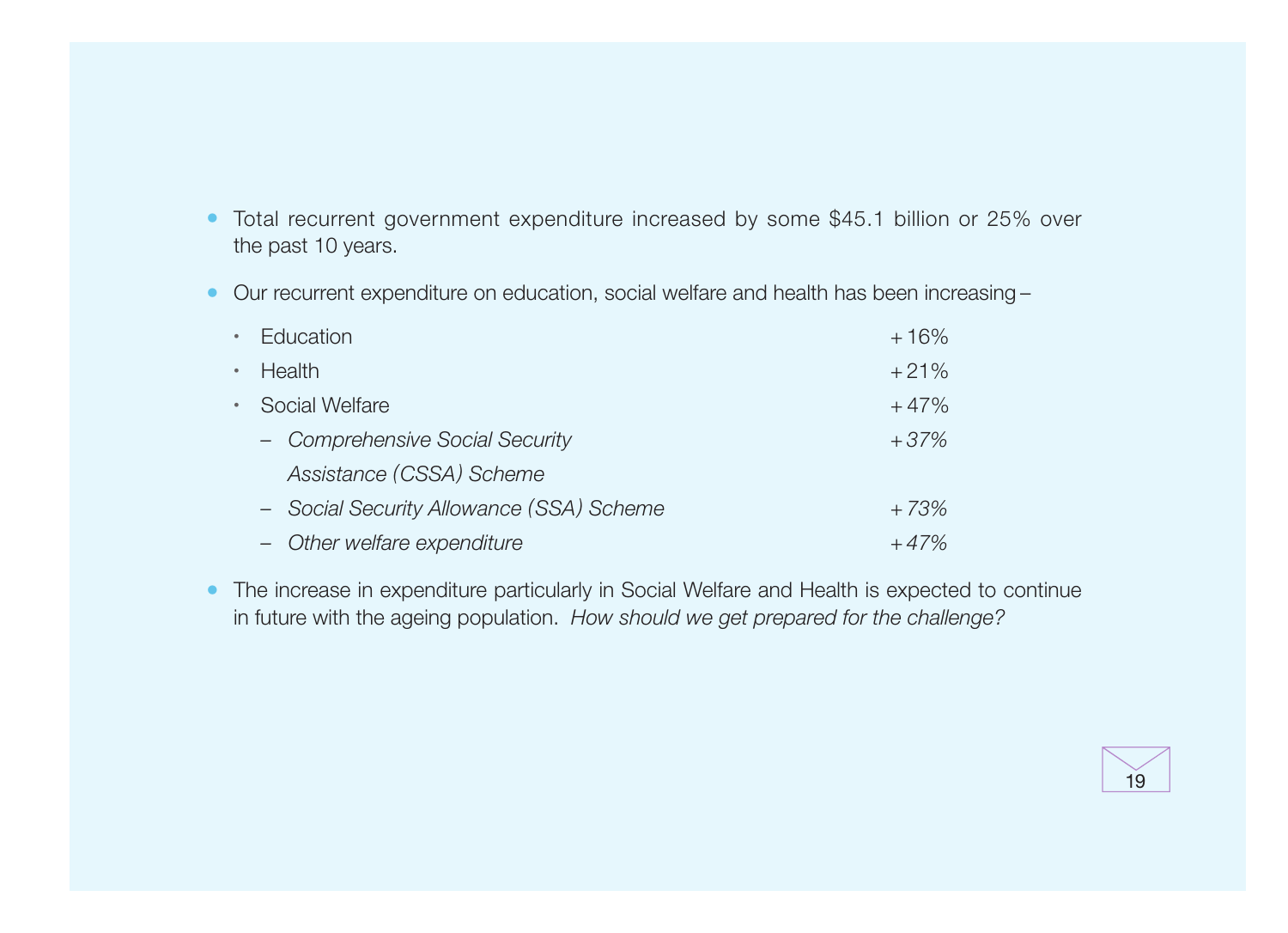- Total recurrent government expenditure increased by some \$45.1 billion or 25% over the past 10 years.
- Our recurrent expenditure on education, social welfare and health has been increasing –

|             | • Education                              | $+16%$ |
|-------------|------------------------------------------|--------|
| $\bullet$   | Health                                   | $+21%$ |
| $\bullet$ . | Social Welfare                           | $+47%$ |
|             | - Comprehensive Social Security          | $+37%$ |
|             | Assistance (CSSA) Scheme                 |        |
|             | - Social Security Allowance (SSA) Scheme | $+73%$ |
|             | - Other welfare expenditure              | $+47%$ |

• The increase in expenditure particularly in Social Welfare and Health is expected to continue in future with the ageing population. How should we get prepared for the challenge?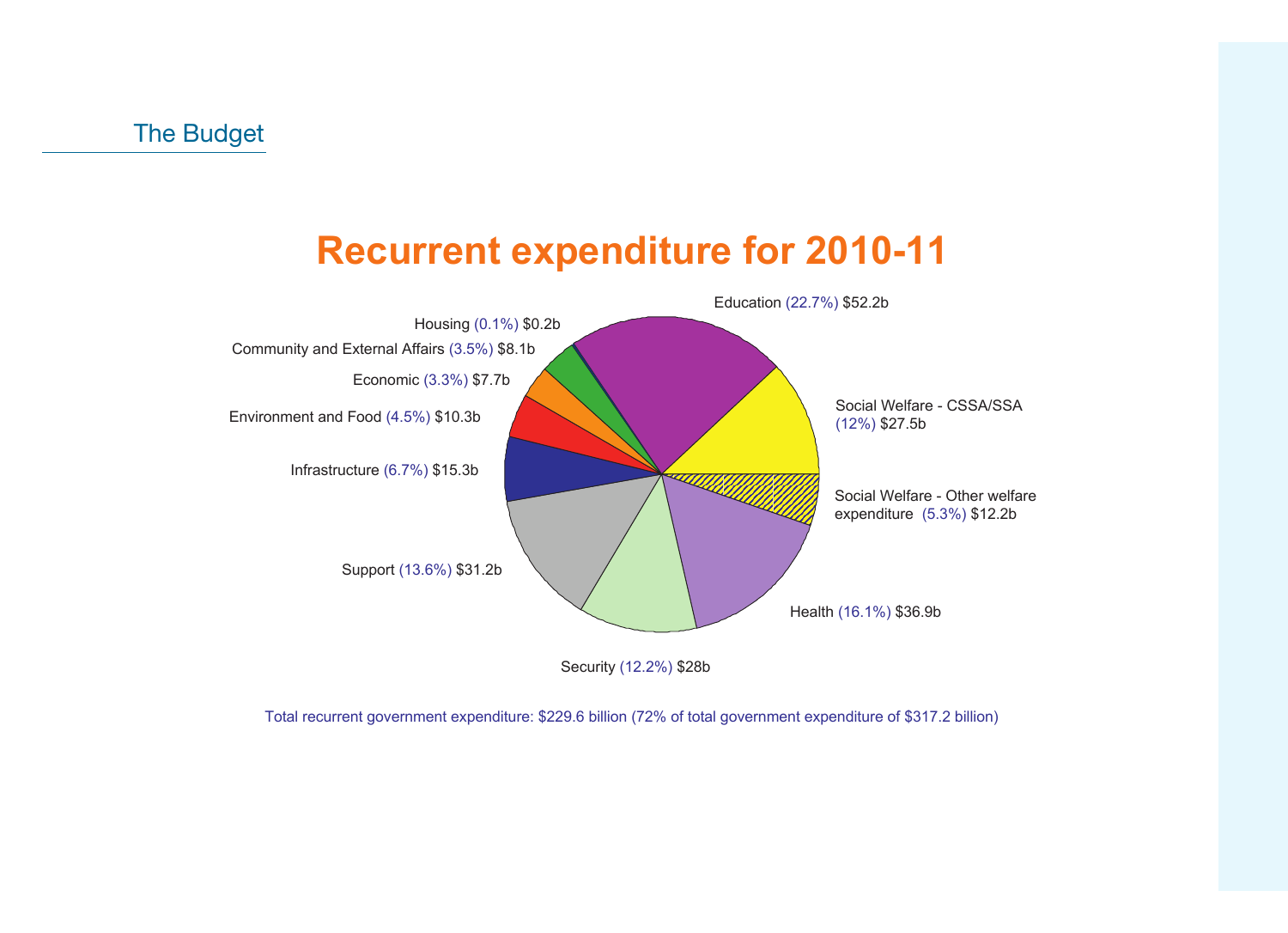### **Recurrent expenditure for 2010-11**



Total recurrent government expenditure: \$229.6 billion (72% of total government expenditure of \$317.2 billion)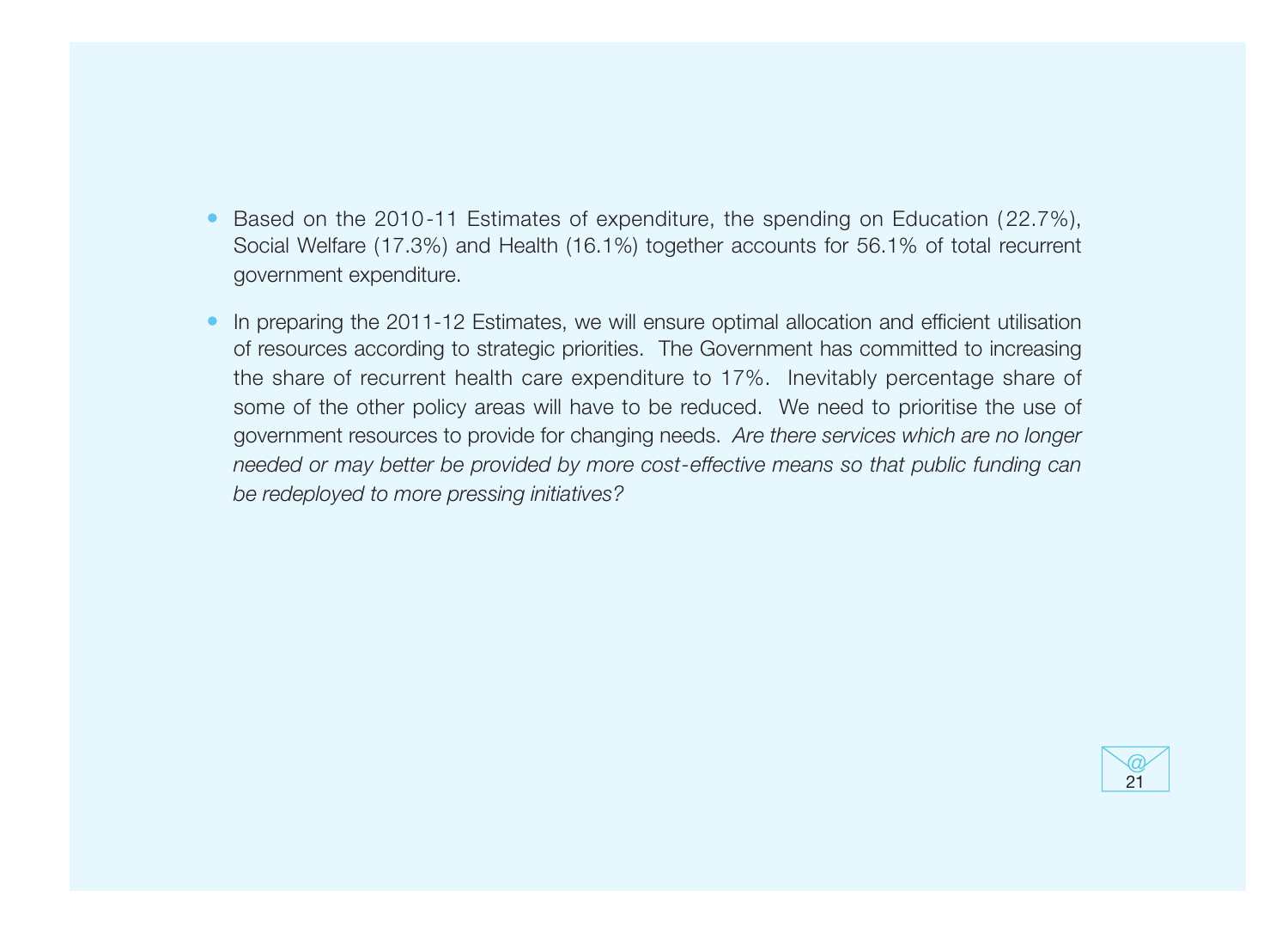- Based on the 2010-11 Estimates of expenditure, the spending on Education (22.7%), Social Welfare (17.3%) and Health (16.1%) together accounts for 56.1% of total recurrent government expenditure.
- In preparing the 2011-12 Estimates, we will ensure optimal allocation and efficient utilisation of resources according to strategic priorities. The Government has committed to increasing the share of recurrent health care expenditure to 17%. Inevitably percentage share of some of the other policy areas will have to be reduced. We need to prioritise the use of government resources to provide for changing needs. Are there services which are no longer needed or may better be provided by more cost-effective means so that public funding can be redeployed to more pressing initiatives?

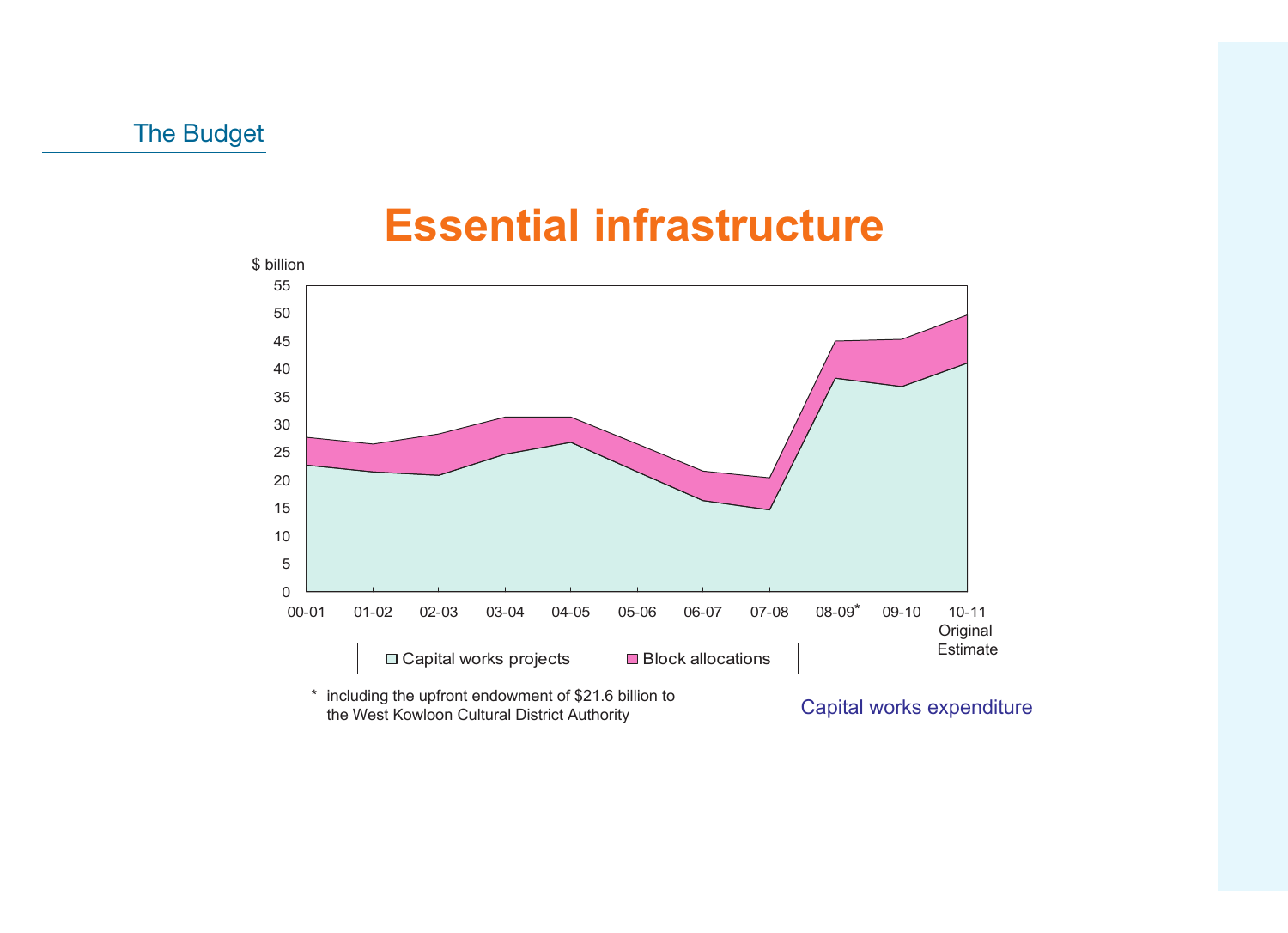### **Essential infrastructure**



\* including the upfront endowment of \$21.6 billion to the West Kowloon Cultural District Authority

Capital works expenditure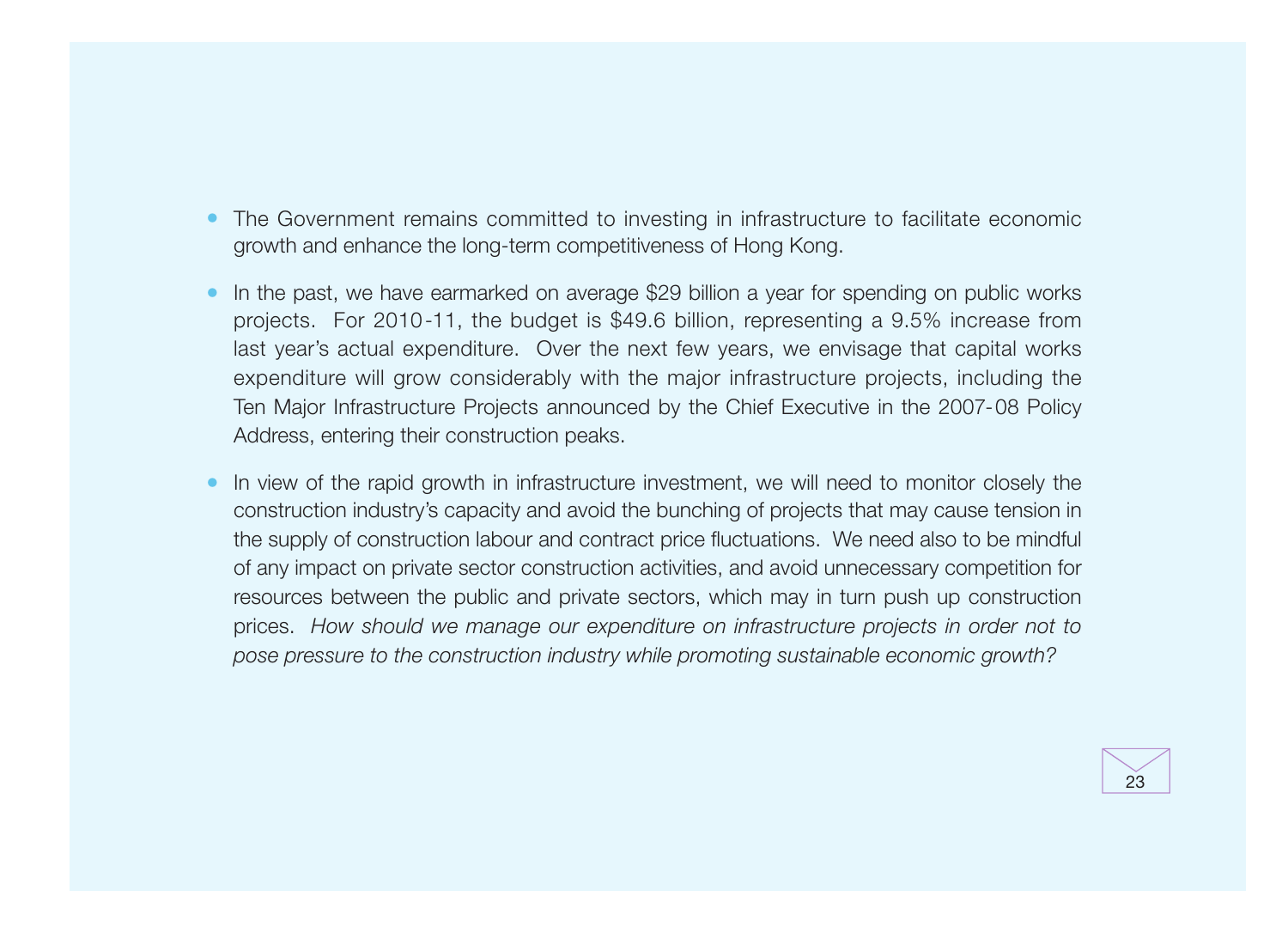- The Government remains committed to investing in infrastructure to facilitate economic growth and enhance the long-term competitiveness of Hong Kong.
- In the past, we have earmarked on average \$29 billion a year for spending on public works projects. For 2010-11, the budget is \$49.6 billion, representing a 9.5% increase from last year's actual expenditure. Over the next few years, we envisage that capital works expenditure will grow considerably with the major infrastructure projects, including the Ten Major Infrastructure Projects announced by the Chief Executive in the 2007-08 Policy Address, entering their construction peaks.
- In view of the rapid growth in infrastructure investment, we will need to monitor closely the construction industry's capacity and avoid the bunching of projects that may cause tension in the supply of construction labour and contract price fluctuations. We need also to be mindful of any impact on private sector construction activities, and avoid unnecessary competition for resources between the public and private sectors, which may in turn push up construction prices. How should we manage our expenditure on infrastructure projects in order not to pose pressure to the construction industry while promoting sustainable economic growth?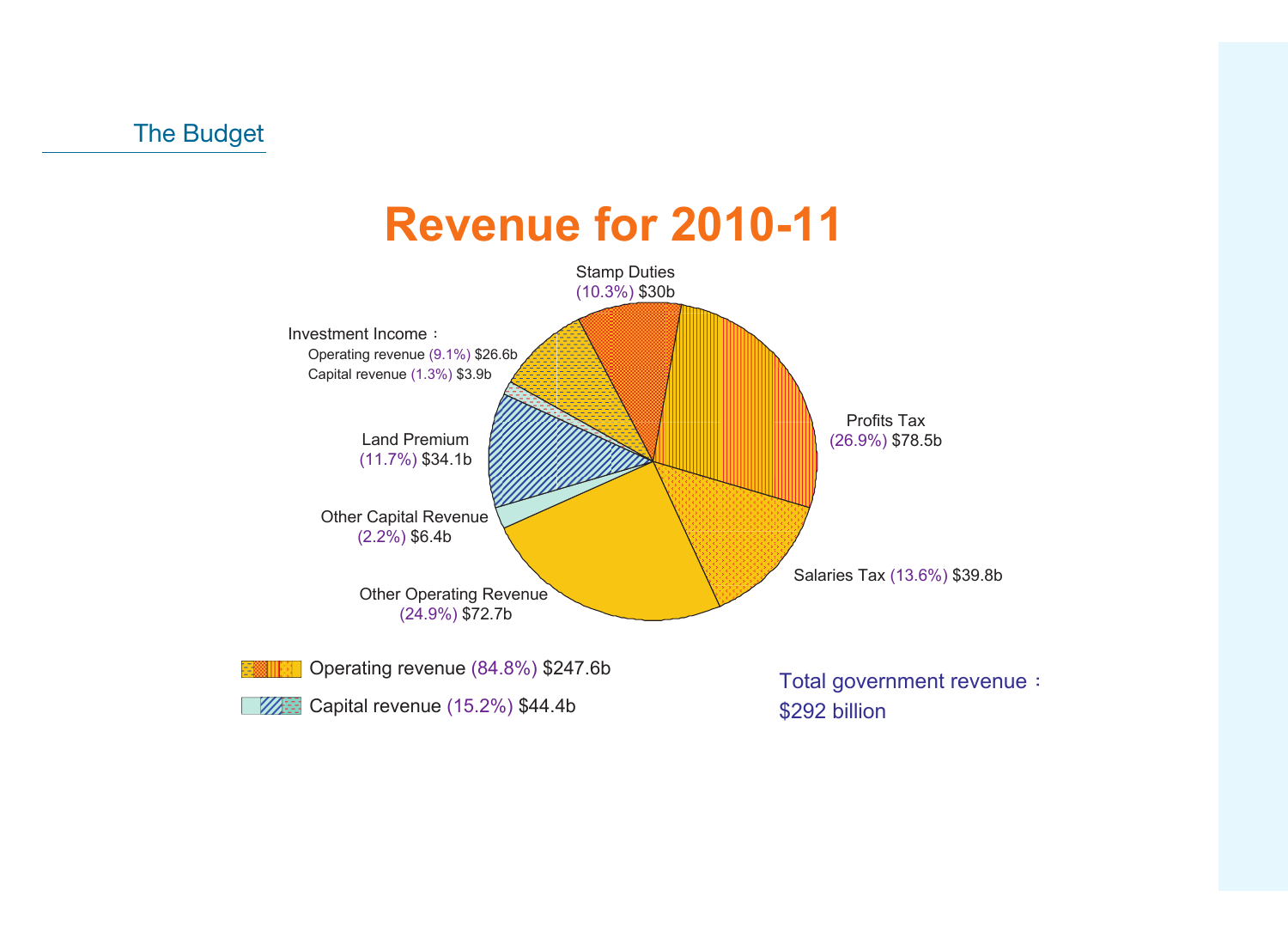

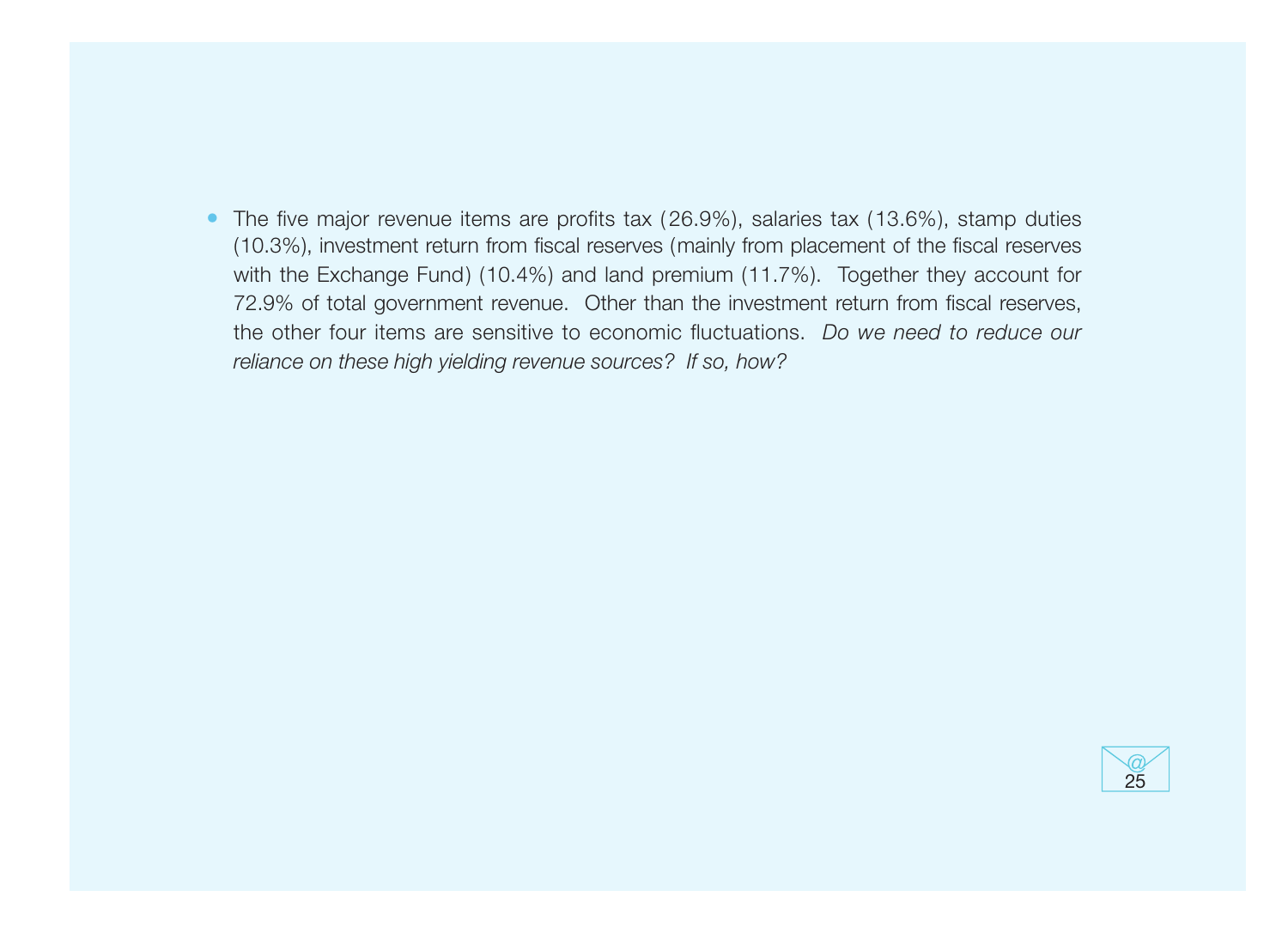• The five major revenue items are profits tax ( 26.9%), salaries tax (13.6%), stamp duties (10.3%), investment return from fiscal reserves (mainly from placement of the fiscal reserves with the Exchange Fund) (10.4%) and land premium (11.7%). Together they account for 72.9% of total government revenue. Other than the investment return from fiscal reserves, the other four items are sensitive to economic fluctuations. Do we need to reduce our reliance on these high yielding revenue sources? If so, how?

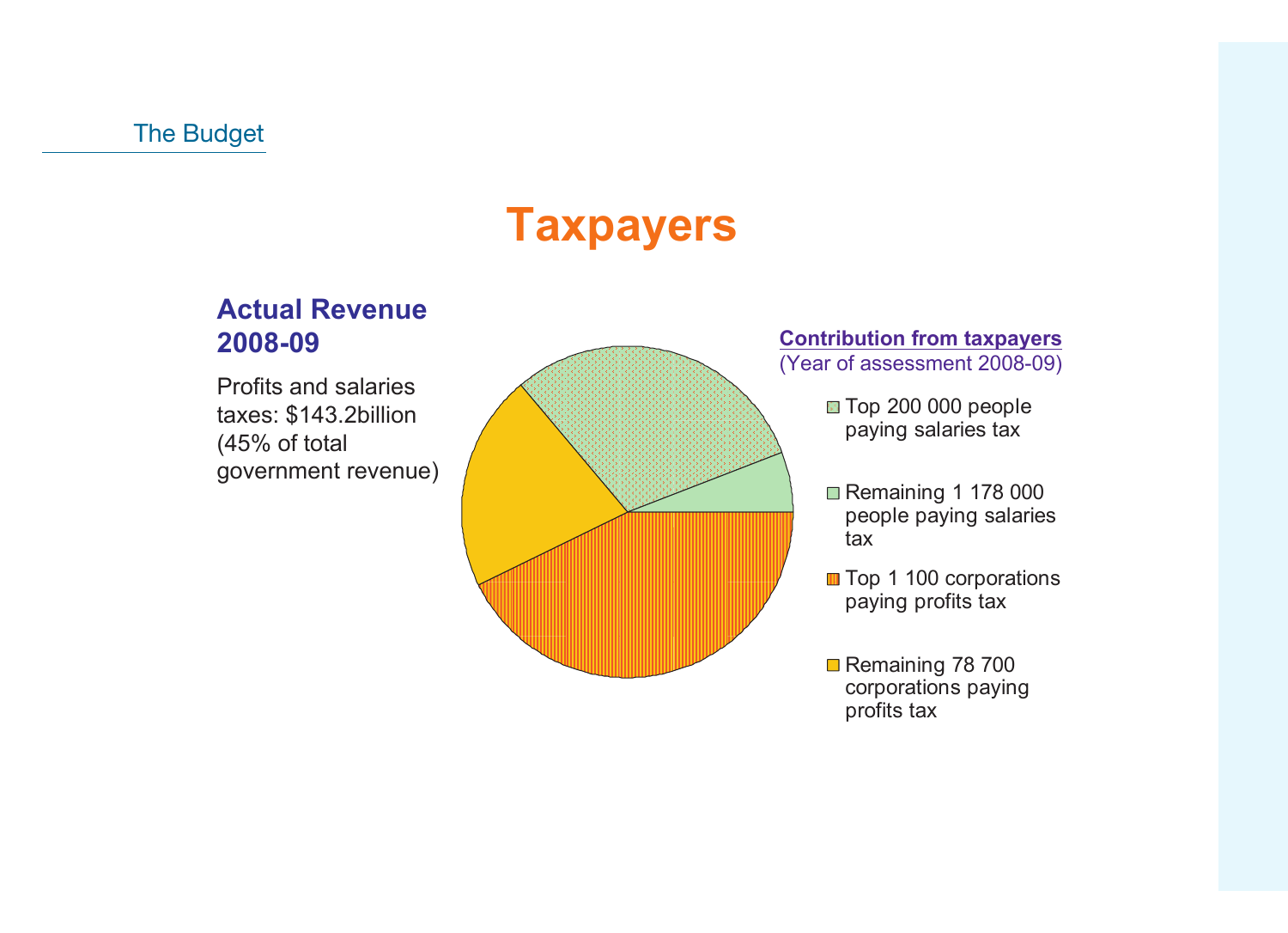## **Taxpayers**

#### **Actual Revenue 2008-09**

Profits and salaries taxes: \$143.2billion (45% of total government revenue)



#### **Contribution from taxpayers**  (Year of assessment 2008-09)

Top 200 000 people paying salaries tax

- Remaining 1 178 000 people paying salaries tax
- **Top 1 100 corporations** paying profits tax
- Remaining 78 700 corporations paying profits tax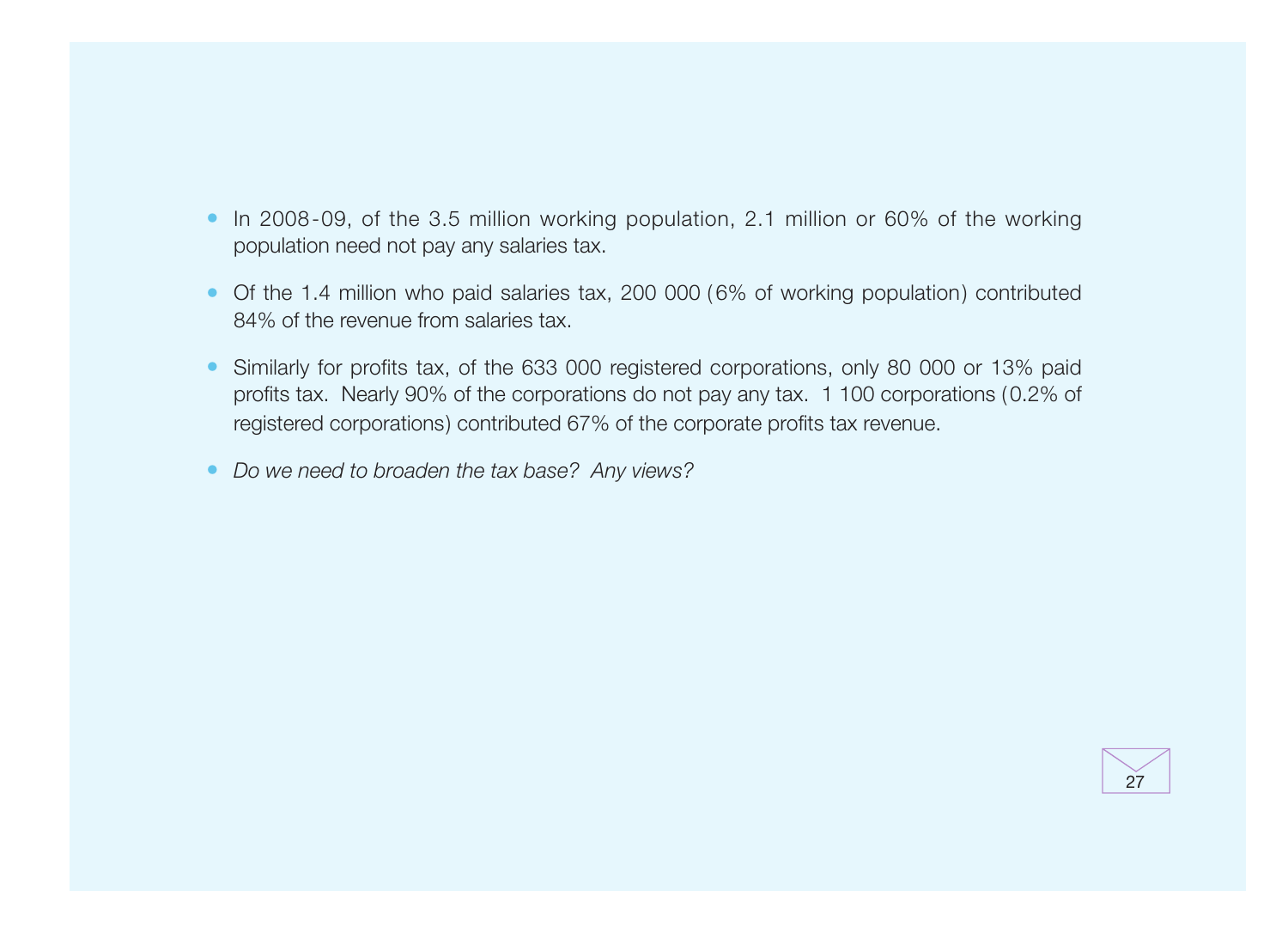- In 2008-09, of the 3.5 million working population, 2.1 million or 60% of the working population need not pay any salaries tax.
- Of the 1.4 million who paid salaries tax, 200 000 (6% of working population) contributed 84% of the revenue from salaries tax.
- Similarly for profits tax, of the 633 000 registered corporations, only 80 000 or 13% paid profits tax. Nearly 90% of the corporations do not pay any tax. 1 100 corporations (0.2% of registered corporations) contributed 67% of the corporate profits tax revenue.
- Do we need to broaden the tax base? Any views?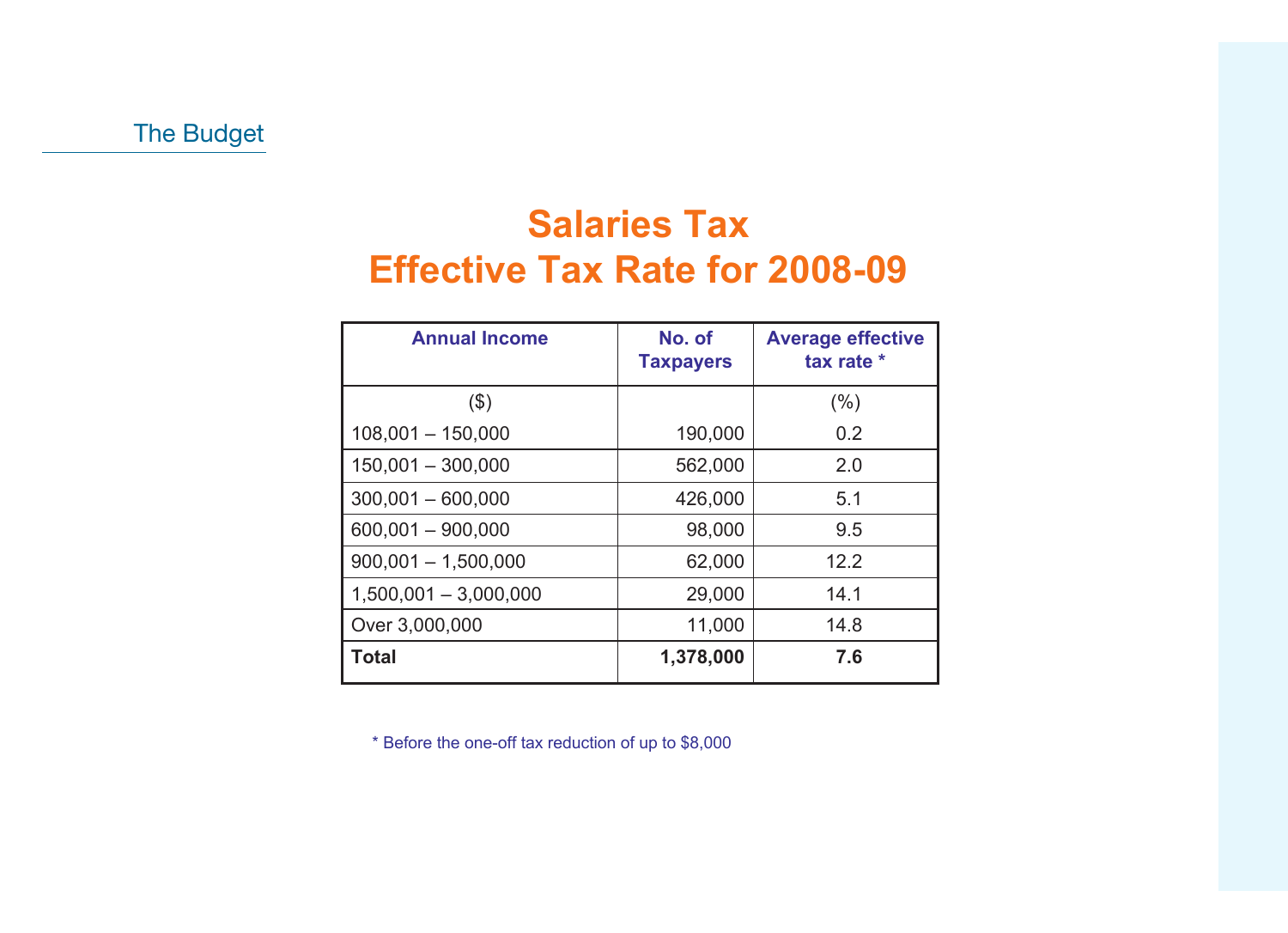### **Salaries Tax Effective Tax Rate for 2008-09**

| <b>Annual Income</b>    | No. of<br><b>Taxpayers</b> | <b>Average effective</b><br>tax rate * |
|-------------------------|----------------------------|----------------------------------------|
| $($ \$)                 |                            | (%)                                    |
| $108,001 - 150,000$     | 190,000                    | 0.2                                    |
| $150,001 - 300,000$     | 562,000                    | 2.0                                    |
| $300,001 - 600,000$     | 426,000                    | 5.1                                    |
| $600,001 - 900,000$     | 98,000                     | 9.5                                    |
| $900,001 - 1,500,000$   | 62,000                     | 12.2                                   |
| $1,500,001 - 3,000,000$ | 29,000                     | 14.1                                   |
| Over 3,000,000          | 11,000                     | 14.8                                   |
| <b>Total</b>            | 1,378,000                  | 7.6                                    |

\* Before the one-off tax reduction of up to \$8,000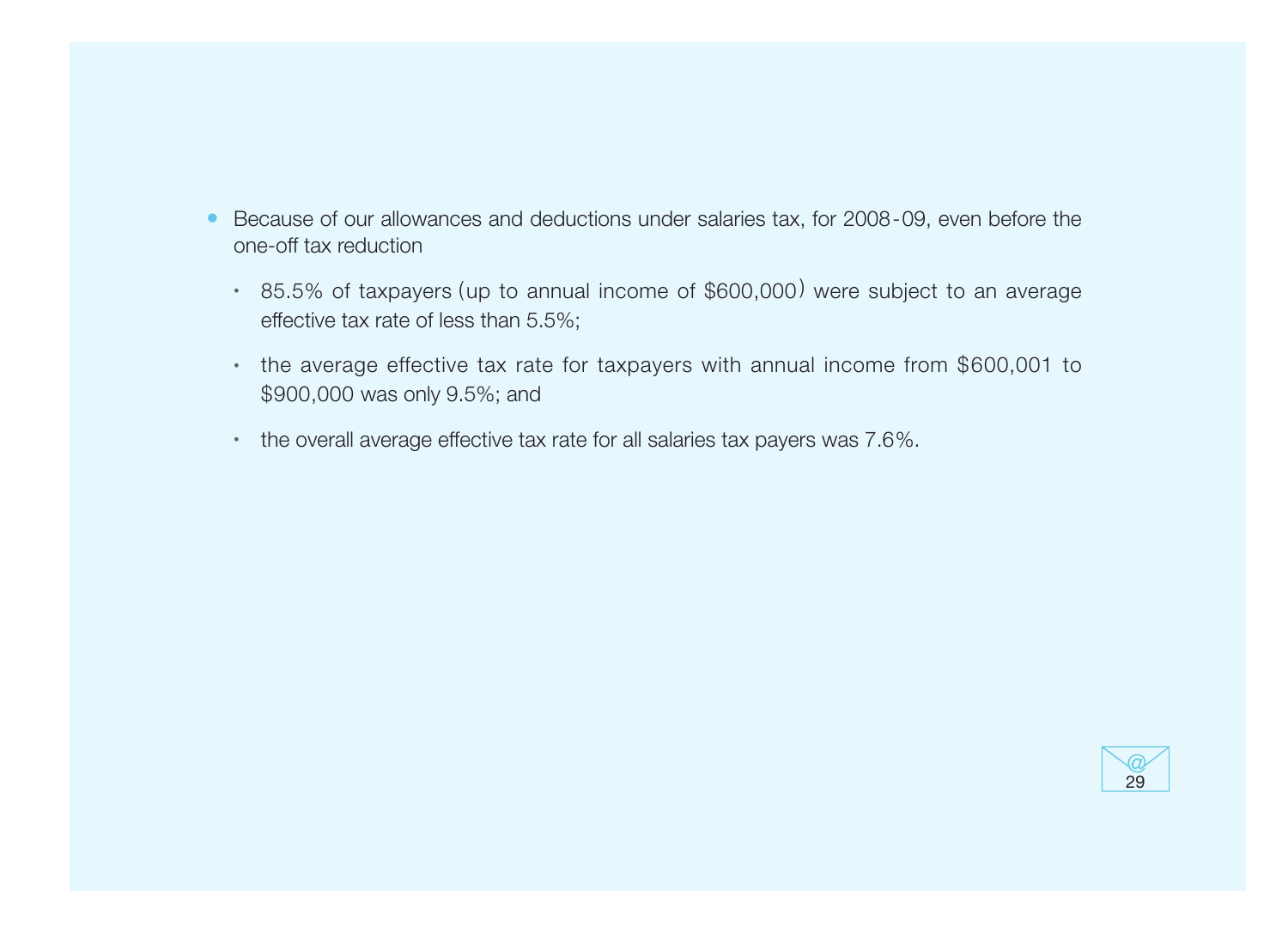- Because of our allowances and deductions under salaries tax, for 2008-09, even before the one-off tax reduction
	- 85.5% of taxpayers (up to annual income of \$600,000 ) were subject to an average effective tax rate of less than 5.5%;
	- the average effective tax rate for taxpayers with annual income from \$600,001 to \$900,000 was only 9.5%; and
	- the overall average effective tax rate for all salaries tax payers was 7.6%.

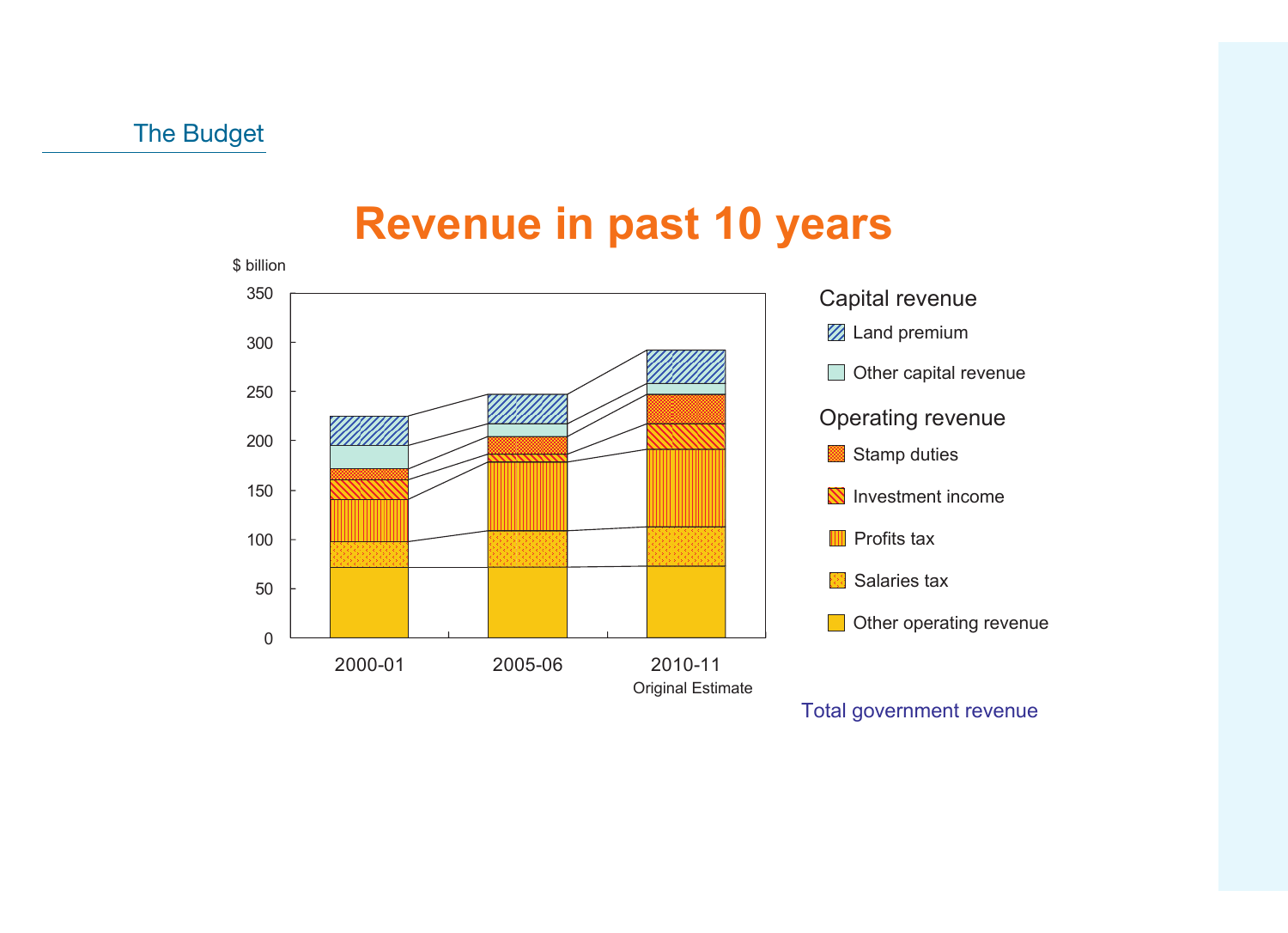### **Revenue in past 10 years**

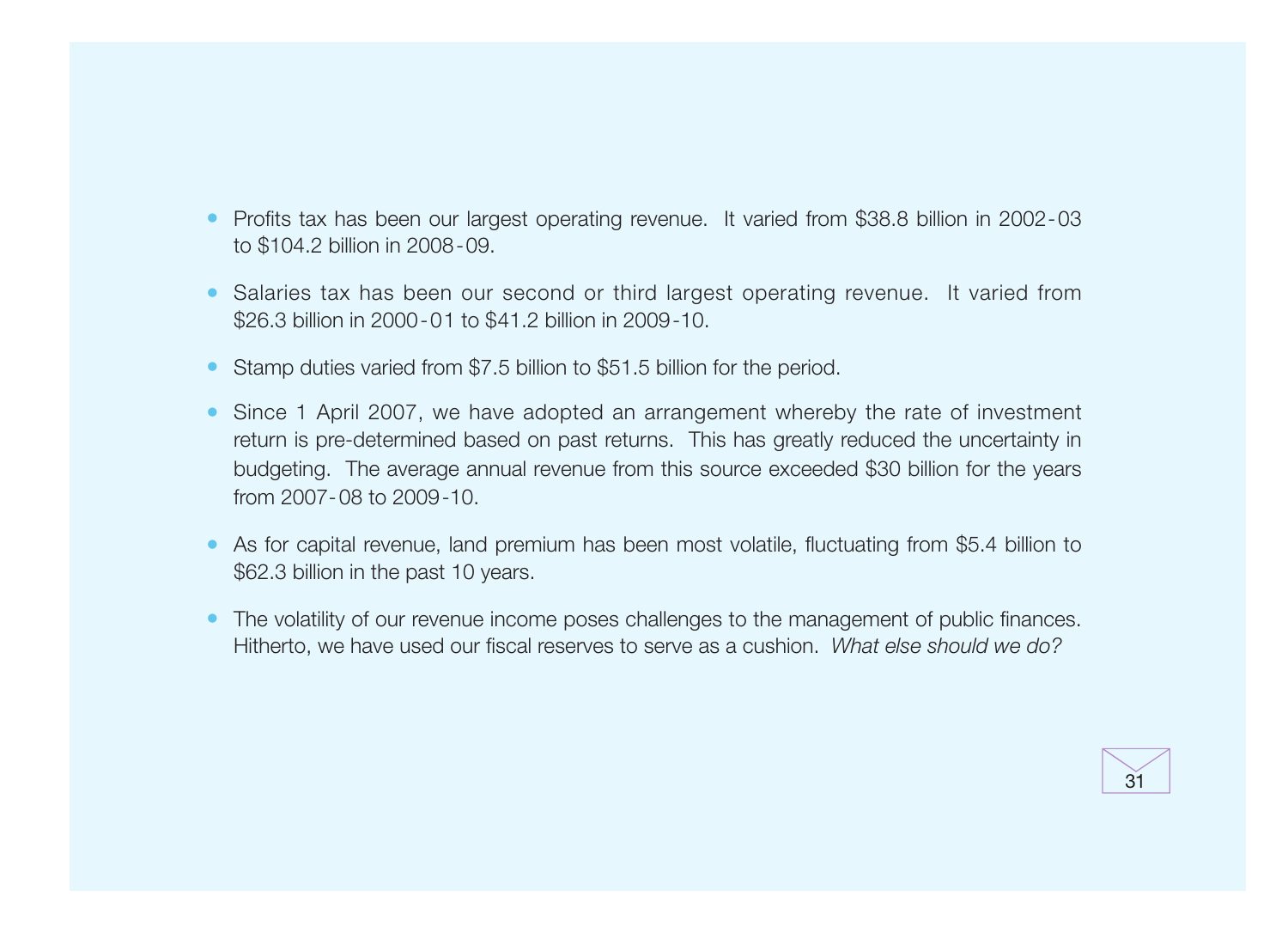- Profits tax has been our largest operating revenue. It varied from \$38.8 billion in 2002-03 to \$104.2 billion in 2008-09.
- Salaries tax has been our second or third largest operating revenue. It varied from \$26.3 billion in 2000-01 to \$41.2 billion in 2009-10.
- Stamp duties varied from \$7.5 billion to \$51.5 billion for the period.
- Since 1 April 2007, we have adopted an arrangement whereby the rate of investment return is pre-determined based on past returns. This has greatly reduced the uncertainty in budgeting. The average annual revenue from this source exceeded \$30 billion for the years from 2007-08 to 2009-10.
- As for capital revenue, land premium has been most volatile, fluctuating from \$5.4 billion to \$62.3 billion in the past 10 years.
- The volatility of our revenue income poses challenges to the management of public finances. Hitherto, we have used our fiscal reserves to serve as a cushion. What else should we do?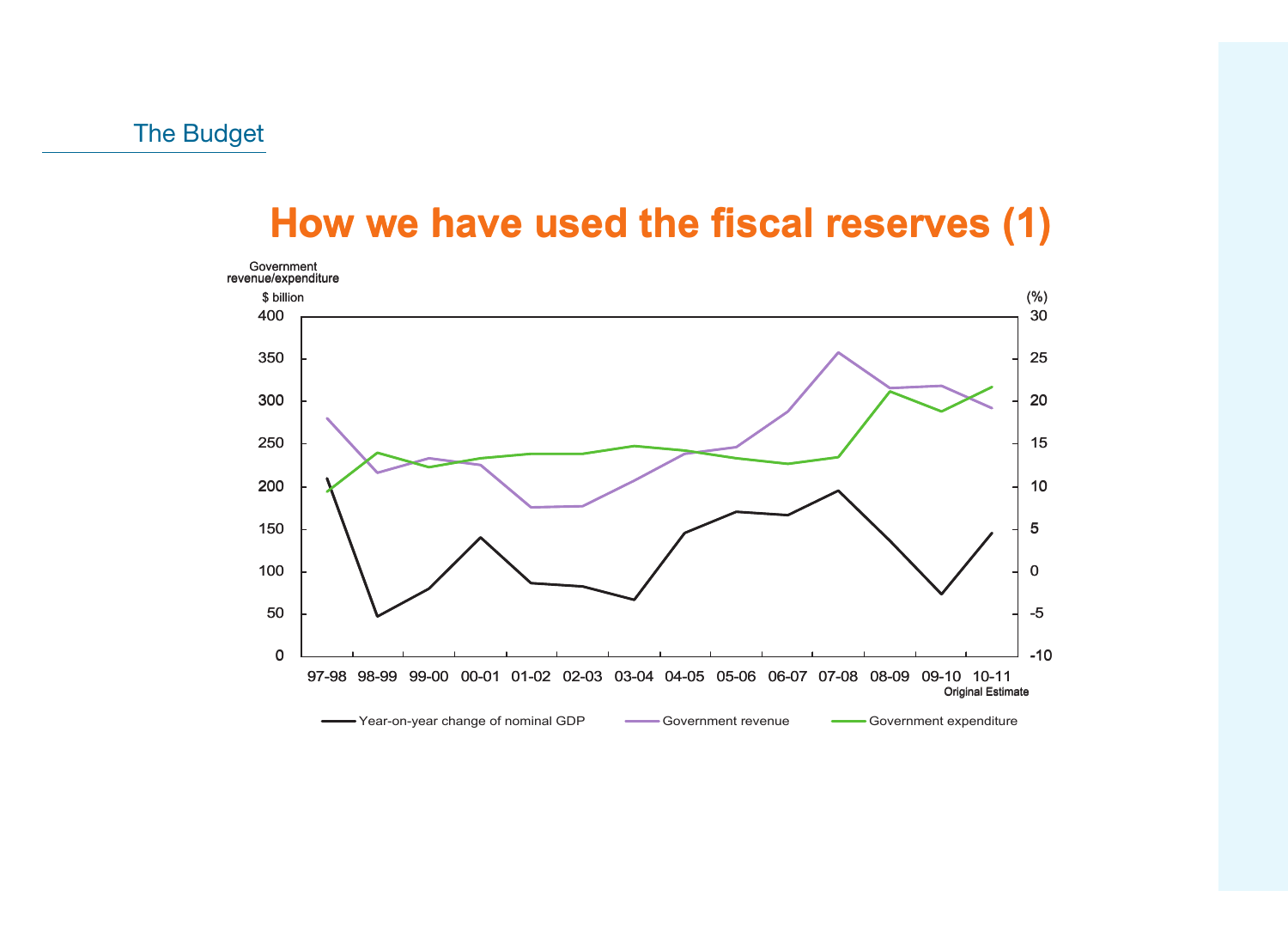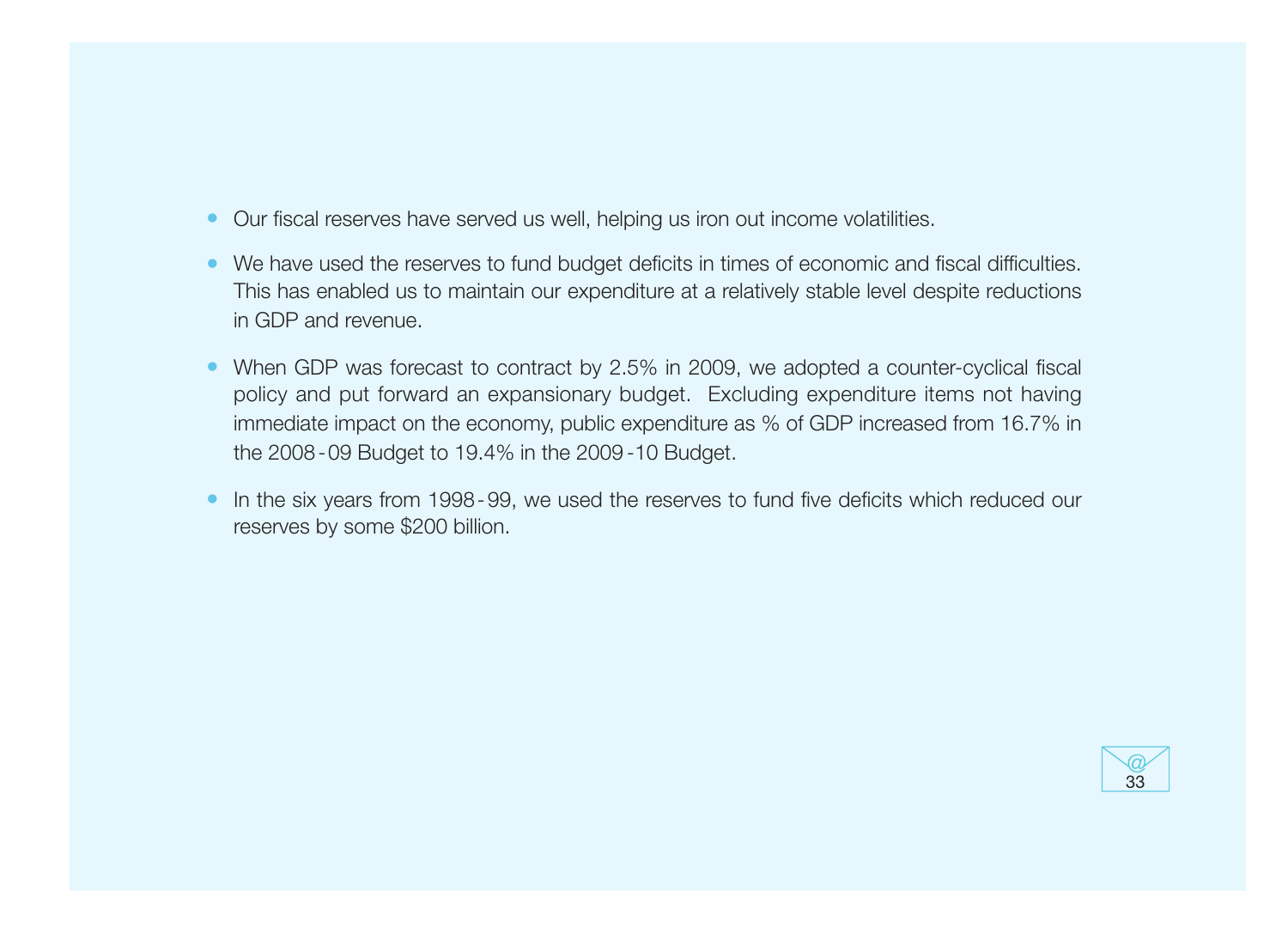- Our fiscal reserves have served us well, helping us iron out income volatilities.
- We have used the reserves to fund budget deficits in times of economic and fiscal difficulties. This has enabled us to maintain our expenditure at a relatively stable level despite reductions in GDP and revenue.
- When GDP was forecast to contract by  $2.5\%$  in 2009, we adopted a counter-cyclical fiscal policy and put forward an expansionary budget. Excluding expenditure items not having immediate impact on the economy, public expenditure as % of GDP increased from 16.7% in the 2008-09 Budget to 19.4% in the 2009 -10 Budget.
- In the six years from 1998-99, we used the reserves to fund five deficits which reduced our reserves by some \$200 billion.

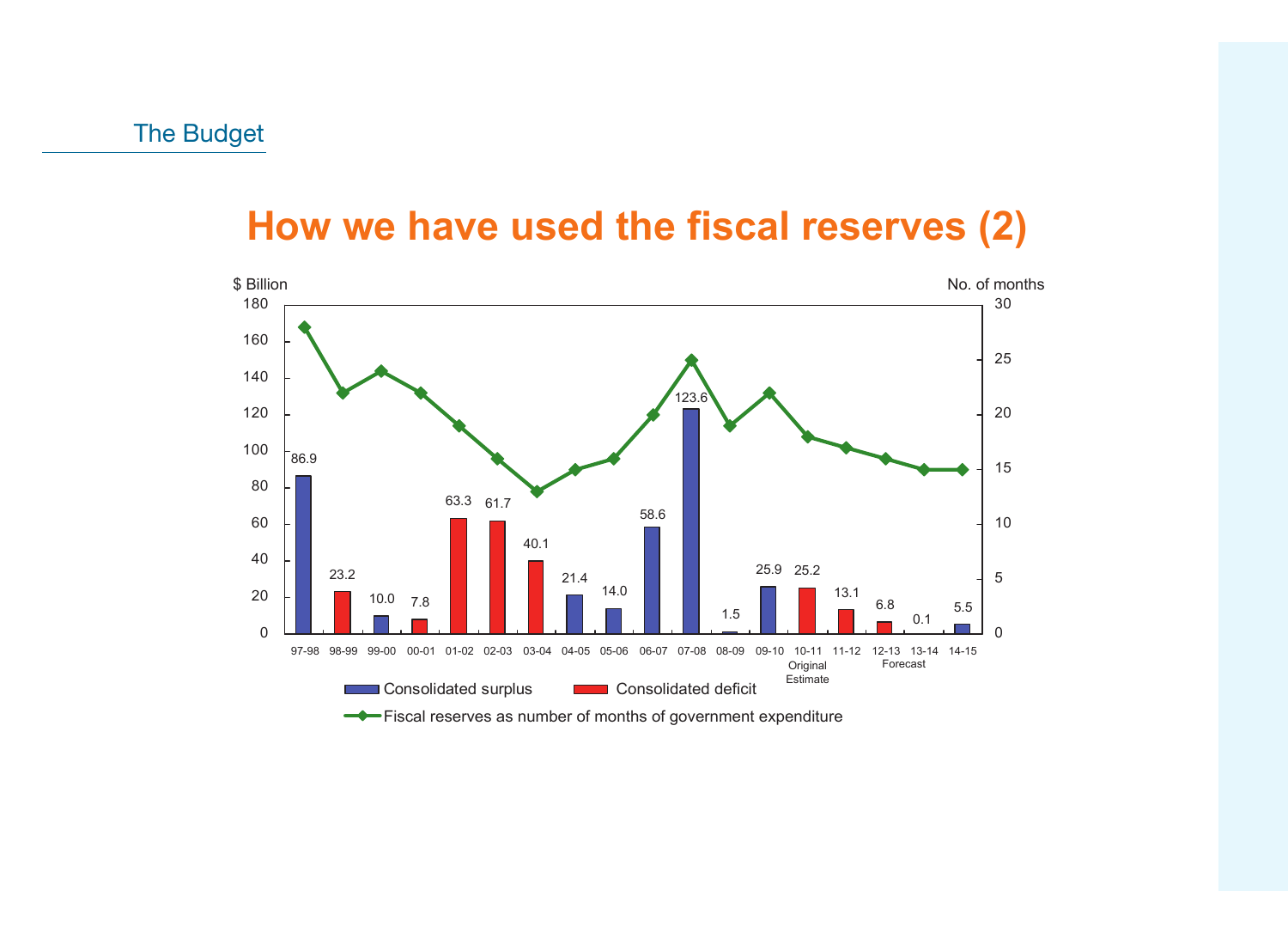### **How we have used the fiscal reserves (2)**

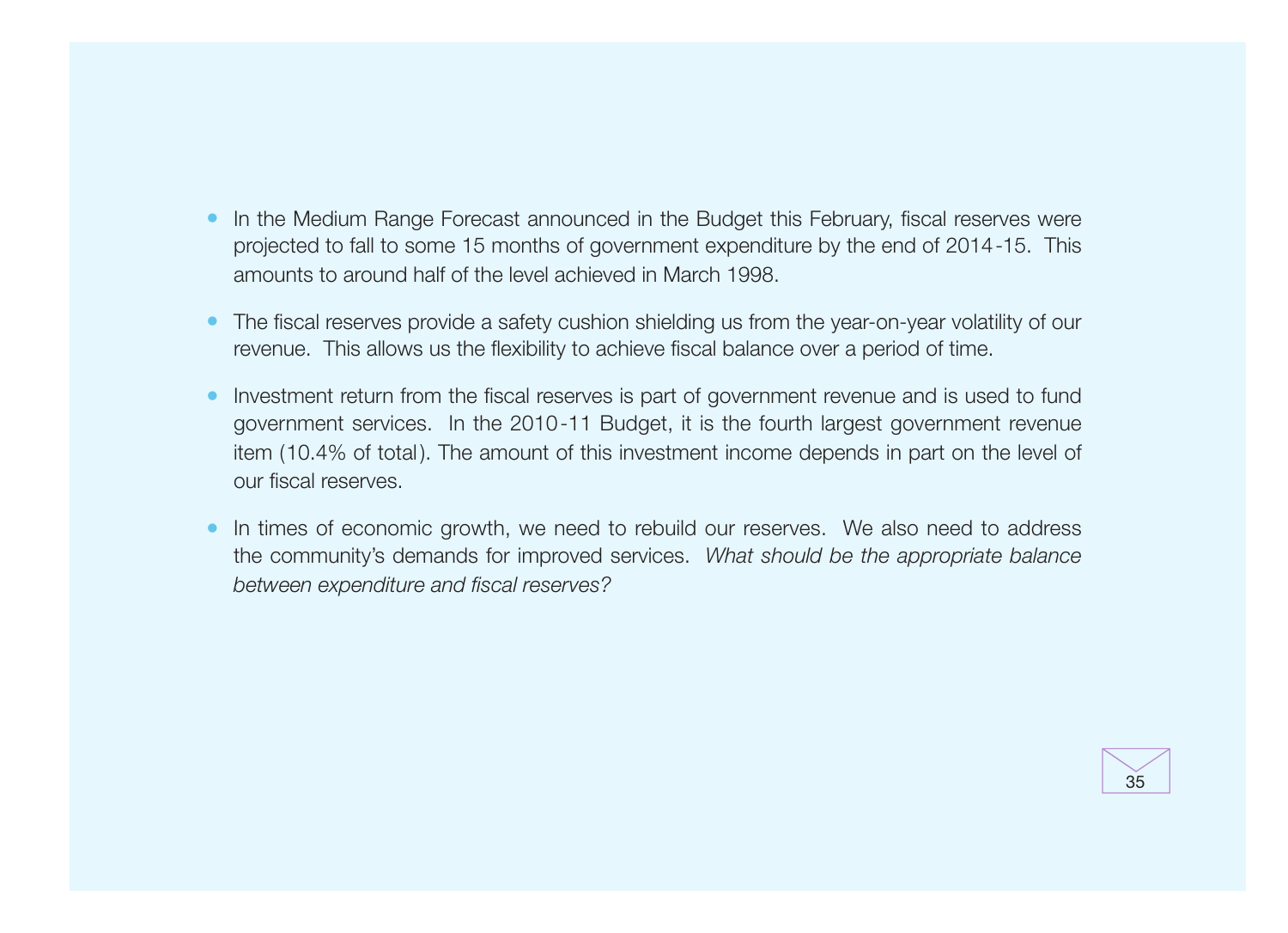- In the Medium Range Forecast announced in the Budget this February, fiscal reserves were projected to fall to some 15 months of government expenditure by the end of 2014-15. This amounts to around half of the level achieved in March 1998.
- The fiscal reserves provide a safety cushion shielding us from the year-on-year volatility of our revenue. This allows us the flexibility to achieve fiscal balance over a period of time.
- Investment return from the fiscal reserves is part of government revenue and is used to fund government services. In the 2010-11 Budget, it is the fourth largest government revenue item (10.4% of total). The amount of this investment income depends in part on the level of our fiscal reserves.
- In times of economic growth, we need to rebuild our reserves. We also need to address the community's demands for improved services. What should be the appropriate balance between expenditure and fiscal reserves?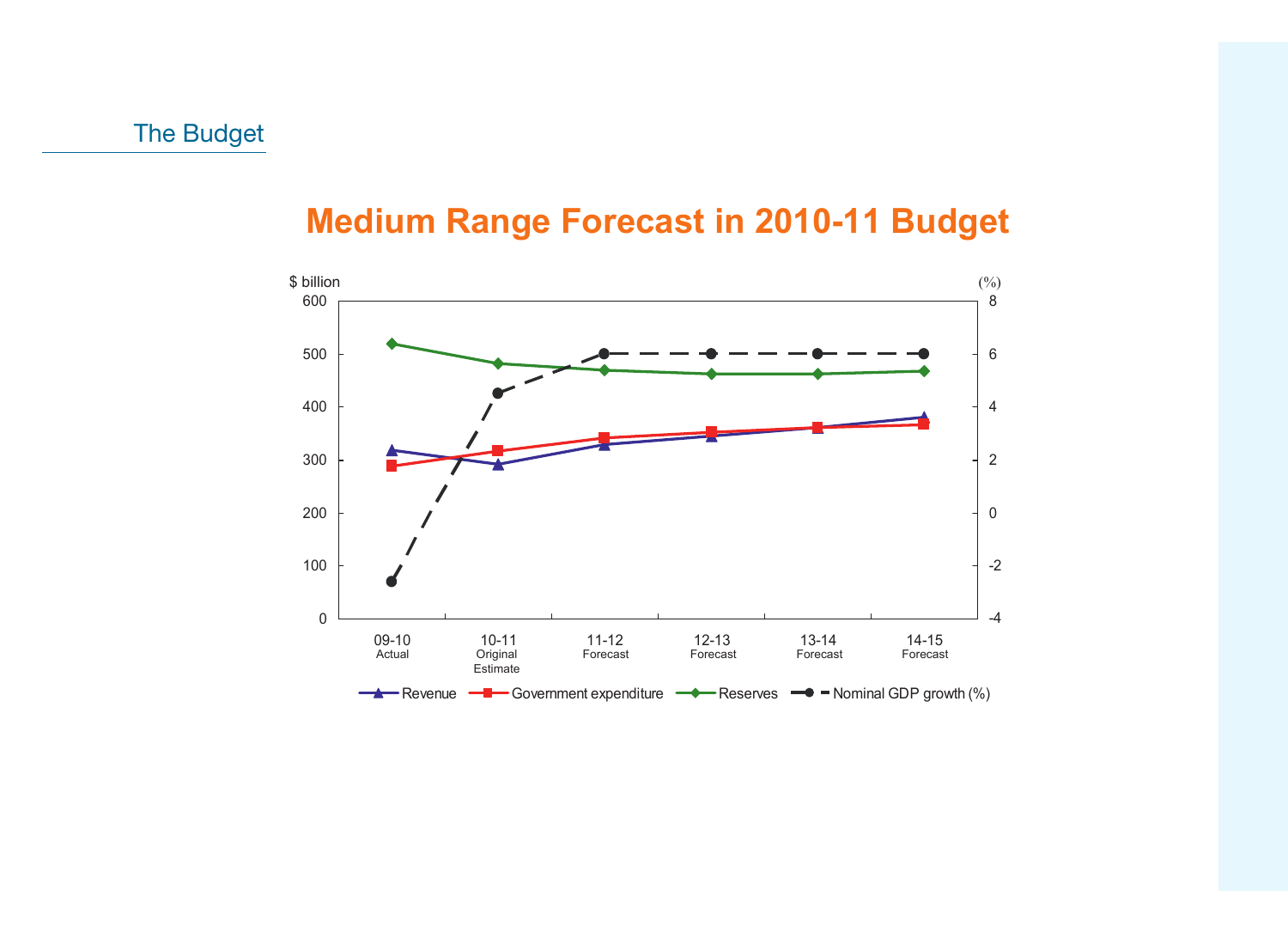#### **Medium Range Forecast in 2010-11 Budget**

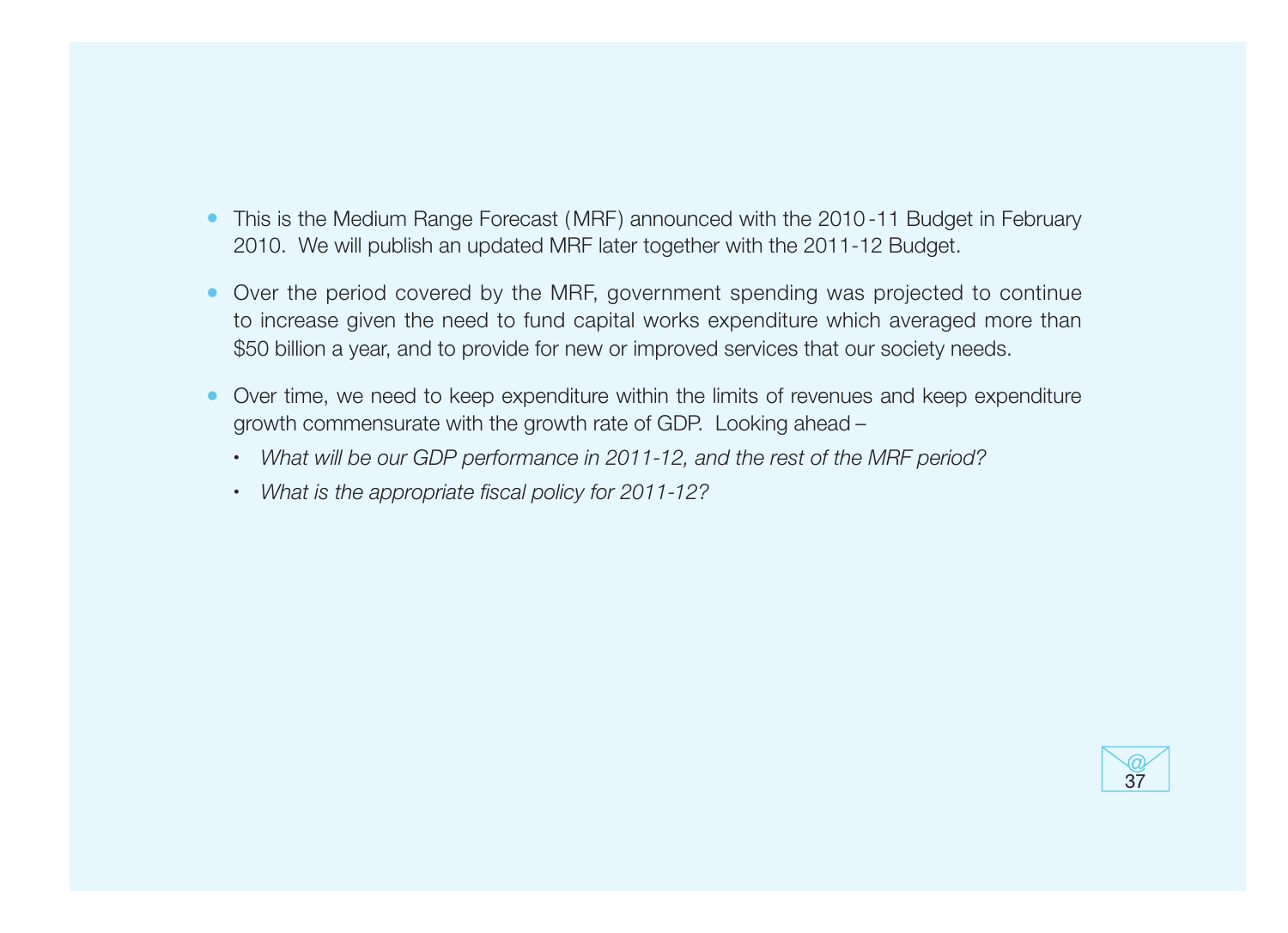- This is the Medium Range Forecast (MRF) announced with the 2010-11 Budget in February 2010. We will publish an updated MRF later together with the 2011-12 Budget.
- Over the period covered by the MRF, government spending was projected to continue to increase given the need to fund capital works expenditure which averaged more than \$50 billion a year, and to provide for new or improved services that our society needs.
- Over time, we need to keep expenditure within the limits of revenues and keep expenditure growth commensurate with the growth rate of GDP. Looking ahead –
	- What will be our GDP performance in 2011-12, and the rest of the MRF period?
	- What is the appropriate fiscal policy for 2011-12?

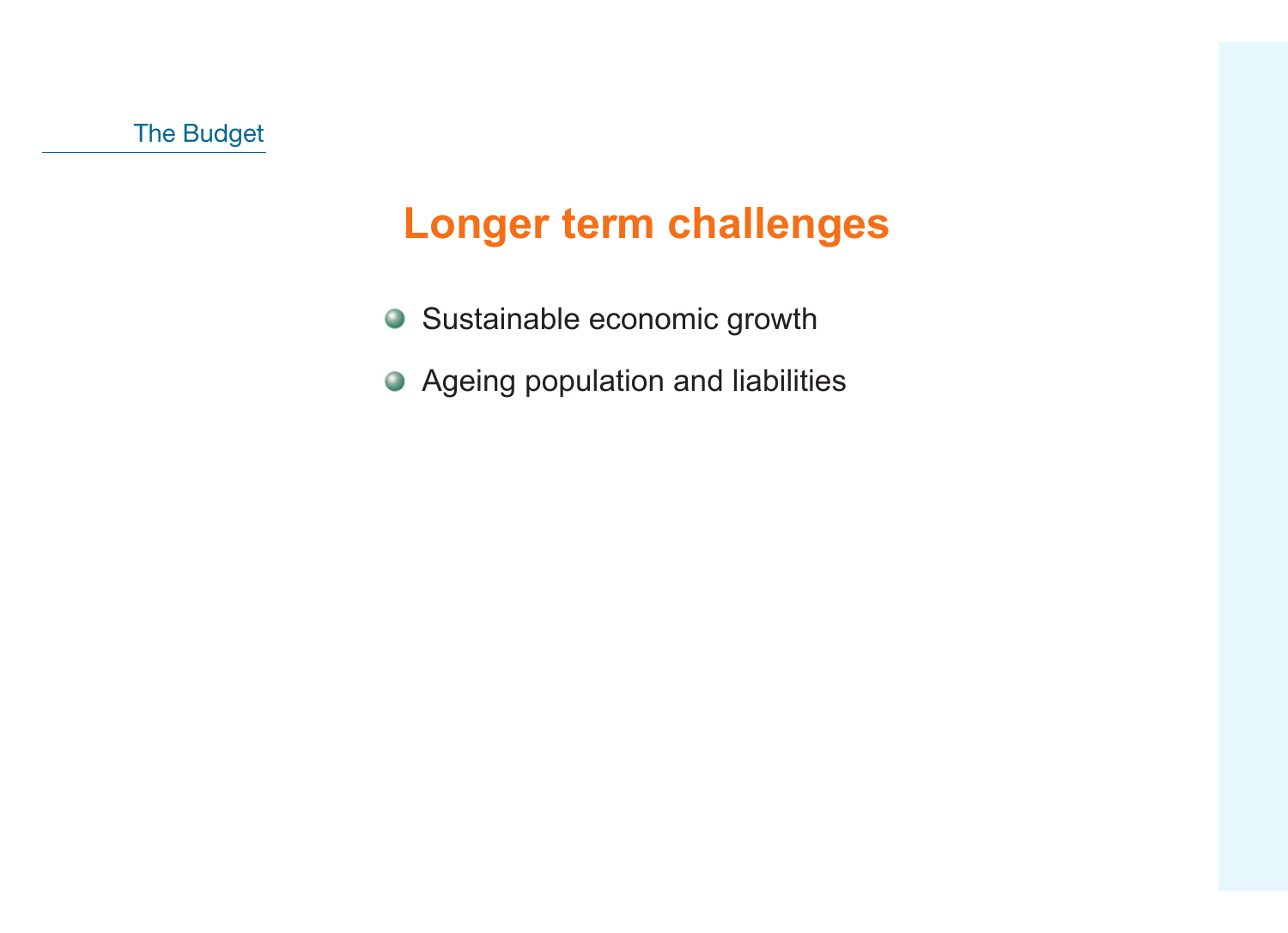### **Longer term challenges**

- Sustainable economic growth
- Ageing population and liabilities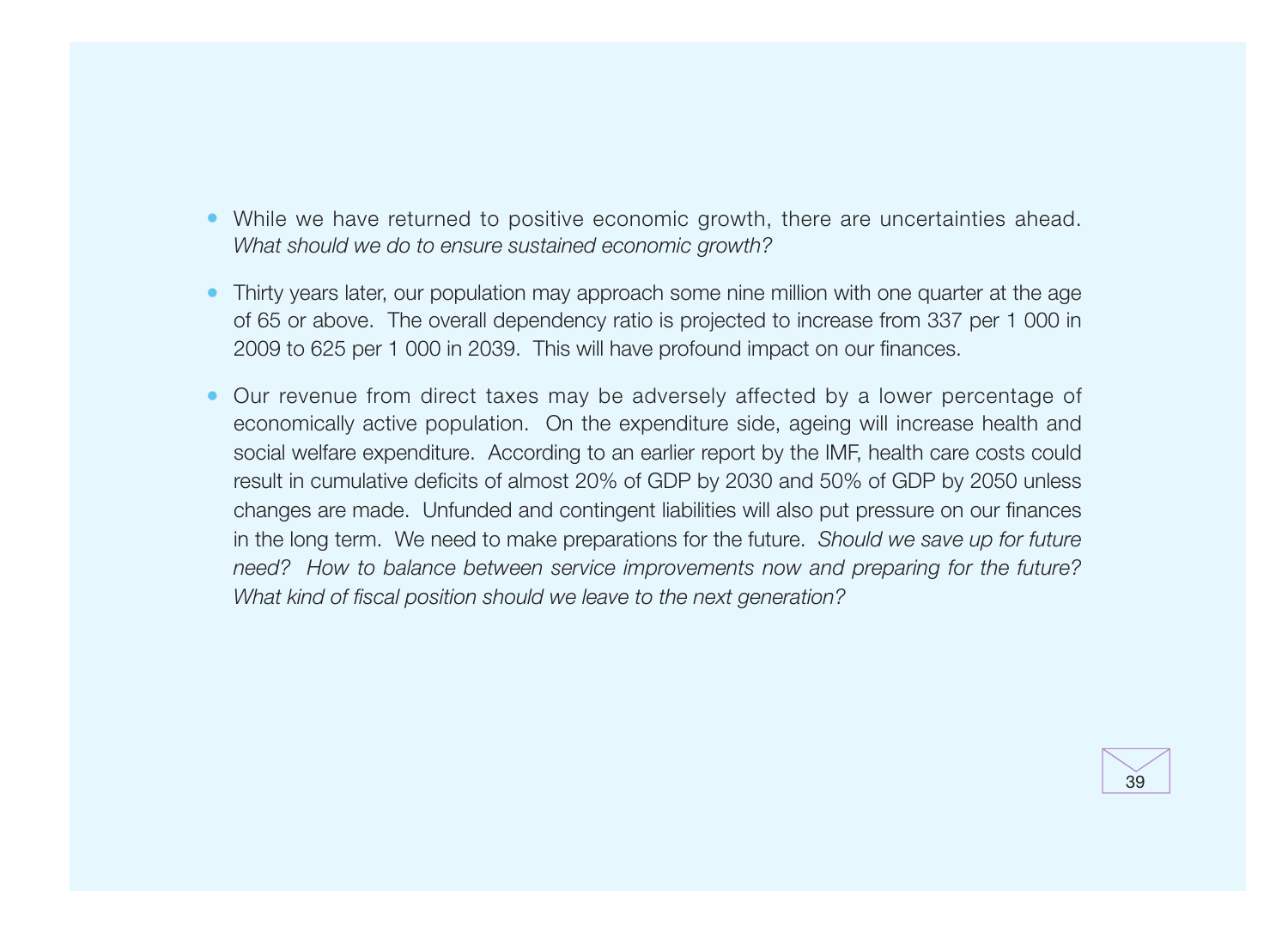- While we have returned to positive economic growth, there are uncertainties ahead. What should we do to ensure sustained economic growth?
- Thirty years later, our population may approach some nine million with one quarter at the age of 65 or above. The overall dependency ratio is projected to increase from 337 per 1 000 in 2009 to 625 per 1 000 in 2039. This will have profound impact on our finances.
- Our revenue from direct taxes may be adversely affected by a lower percentage of economically active population. On the expenditure side, ageing will increase health and social welfare expenditure. According to an earlier report by the IMF, health care costs could result in cumulative deficits of almost 20% of GDP by 2030 and 50% of GDP by 2050 unless changes are made. Unfunded and contingent liabilities will also put pressure on our finances in the long term. We need to make preparations for the future. Should we save up for future need? How to balance between service improvements now and preparing for the future? What kind of fiscal position should we leave to the next generation?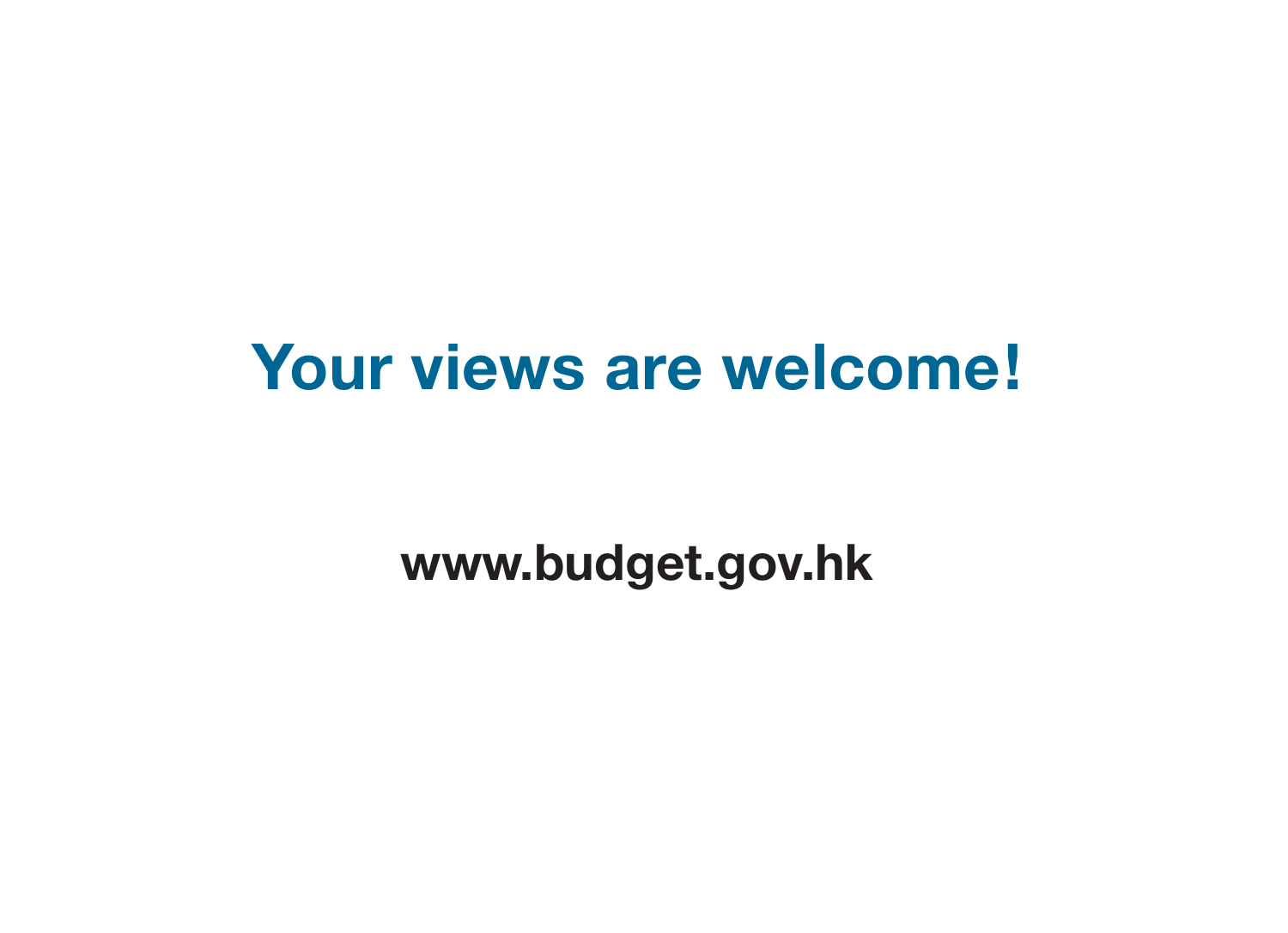# **Your views are welcome!**

## **www.budget.gov.hk**